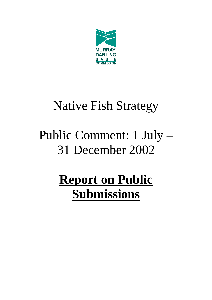

# Native Fish Strategy

# Public Comment: 1 July – 31 December 2002

# **Report on Public Submissions**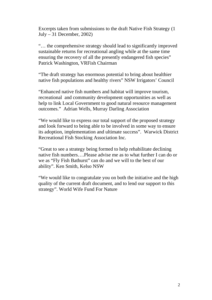Excerpts taken from submissions to the draft Native Fish Strategy (1 July  $-31$  December, 2002)

"… the comprehensive strategy should lead to significantly improved sustainable returns for recreational angling while at the same time ensuring the recovery of all the presently endangered fish species" Patrick Washington, VRFish Chairman

"The draft strategy has enormous potential to bring about healthier native fish populations and healthy rivers" NSW Irrigators' Council

"Enhanced native fish numbers and habitat will improve tourism, recreational and community development opportunities as well as help to link Local Government to good natural resource management outcomes." Adrian Wells, Murray Darling Association

"We would like to express our total support of the proposed strategy and look forward to being able to be involved in some way to ensure its adoption, implementation and ultimate success". Warwick District Recreational Fish Stocking Association Inc.

"Great to see a strategy being formed to help rehabilitate declining native fish numbers….Please advise me as to what further I can do or we as "Fly Fish Bathurst" can do and we will to the best of our ability". Ken Smith, Kelso NSW

"We would like to congratulate you on both the initiative and the high quality of the current draft document, and to lend our support to this strategy". World Wife Fund For Nature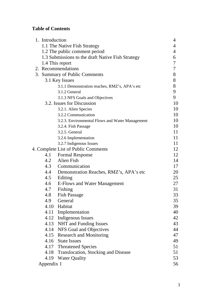# **Table of Contents**

| 1. Introduction               |                                                   | 4  |
|-------------------------------|---------------------------------------------------|----|
| 1.1 The Native Fish Strategy  |                                                   |    |
| 1.2 The public comment period |                                                   |    |
|                               | 1.3 Submissions to the draft Native Fish Strategy | 6  |
|                               | 1.4 This report                                   | 7  |
| 2. Recommendations            |                                                   | 7  |
| 3. Summary of Public Comments |                                                   | 8  |
|                               | 3.1 Key Issues                                    | 8  |
|                               | 3.1.1 Demonstration reaches, RMZ's, APA's etc     | 8  |
|                               | 3.1.2 General                                     | 9  |
|                               | 3.1.3 NFS Goals and Objectives                    | 9  |
|                               | 3.2. Issues for Discussion                        | 10 |
|                               | 3.2.1. Alien Species                              | 10 |
|                               | 3.2.2 Communication                               | 10 |
|                               | 3.2.3. Environmental Flows and Water Management   | 10 |
|                               | 3.2.4. Fish Passage                               | 10 |
|                               | 3.2.5. General                                    | 11 |
|                               | 3.2.6 Implementation                              | 11 |
|                               | 3.2.7 Indigenous Issues                           | 11 |
|                               | 4. Complete List of Public Comments               | 12 |
|                               | 4.1 Formal Response                               | 12 |
|                               | 4.2 Alien Fish                                    | 14 |
|                               | 4.3 Communication                                 | 17 |
|                               | 4.4 Demonstration Reaches, RMZ's, APA's etc       | 20 |
|                               | 4.5 Editing                                       | 25 |
|                               | 4.6 E-Flows and Water Management                  | 27 |
| 4.7                           | Fishing                                           | 31 |
| 4.8                           | <b>Fish Passage</b>                               | 33 |
| 4.9                           | General                                           | 35 |
| 4.10                          | Habitat                                           | 39 |
| 4.11                          | Implementation                                    | 40 |
|                               | 4.12 Indigenous Issues                            | 42 |
|                               | 4.13 NHT and Funding Issues                       | 43 |
|                               | 4.14 NFS Goal and Objectives                      | 44 |
|                               | 4.15 Research and Monitoring                      | 47 |
| 4.16                          | <b>State Issues</b>                               | 49 |
|                               | 4.17 Threatened Species                           | 51 |
|                               | 4.18 Translocation, Stocking and Disease          | 51 |
| 4.19                          | <b>Water Quality</b>                              | 53 |
| Appendix 1                    |                                                   | 56 |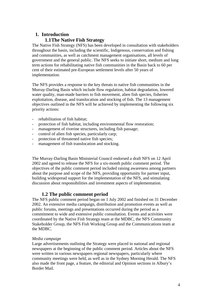# **1. Introduction 1.1The Native Fish Strategy**

The Native Fish Strategy (NFS) has been developed in consultation with stakeholders throughout the basin, including the scientific, Indigenous, conservation and fishing and communities, as well as catchment management organisations, all levels of government and the general public. The NFS seeks to initiate short, medium and long term actions for rehabilitating native fish communities in the Basin back to 60 per cent of their estimated pre-European settlement levels after 50 years of implementation.

The NFS provides a response to the key threats to native fish communities in the Murray-Darling Basin which include flow regulation, habitat degradation, lowered water quality, man-made barriers to fish movement, alien fish species, fisheries exploitation, disease, and translocation and stocking of fish. The 13 management objectives outlined in the NFS will be achieved by implementing the following six priority actions:

- rehabilitation of fish habitat;
- protection of fish habitat, including environmental flow restoration;
- management of riverine structures, including fish passage;
- control of alien fish species, particularly carp;
- protection of threatened native fish species:
- management of fish translocation and stocking.

The Murray-Darling Basin Ministerial Council endorsed a draft NFS on 12 April 2002 and agreed to release the NFS for a six-month public comment period. The objectives of the public comment period included raising awareness among partners about the purpose and scope of the NFS, providing opportunity for partner input, building widespread support for the implementation of the NFS, and stimulating discussion about responsibilities and investment aspects of implementation.

## **1.2 The public comment period**

The NFS public comment period began on 1 July 2002 and finished on 31 December 2002. An extensive media campaign, distribution and promotion events as well as public forums, meetings and presentations occurred during the period as a commitment to wide and extensive public consultation. Events and activities were coordinated by the Native Fish Strategy team at the MDBC, the NFS Community Stakeholder Group, the NFS Fish Working Group and the Communications team at the MDBC.

#### *Media campaign*

Large advertisements outlining the Strategy were placed in national and regional newspapers at the beginning of the public comment period. Articles about the NFS were written in various newspapers regional newspapers, particularly where community meetings were held, as well as in the Sydney Morning Herald. The NFS also made the front page, a feature, the editorial and Opinion sections in Albury's Border Mail.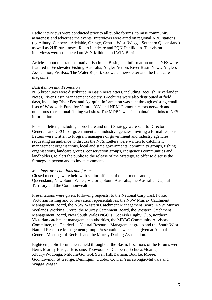Radio interviews were conducted prior to all public forums, to raise community awareness and advertise the events. Interviews were aired on regional ABC stations (eg Albury, Canberra, Adelaide, Orange, Central West, Wagga, Southern Queensland) as well as 2UE rural news, Radio Landcare and 2QN Deniliquin. Television interviews were conducted on WIN Mildura and WIN Berri.

Articles about the status of native fish in the Basin, and information on the NFS were featured in Freshwater Fishing Australia, Angler Action, River Basin News, Anglers Association, FishFax, The Water Report, Codwatch newsletter and the Landcare magazine.

#### *Distribution and Promotion*

NFS brochures were distributed in Basin newsletters, including RecFish, Riverlander Notes, River Basin Management Society. Brochures were also distributed at field days, including River Fest and Ag-quip. Information was sent through existing email lists of Wordwide Fund for Nature, ICM and NRM Communicators network and numerous recreational fishing websites. The MDBC website maintained links to NFS information.

Personal letters, including a brochure and draft Strategy were sent to Director Generals and CEO's of government and industry agencies, inviting a formal response. Letters were written to Program managers of government and industry agencies requesting an audience to discuss the NFS. Letters were written to catchment management organisations, local and state governments, community groups, fishing organisations, landcare groups, conservation groups, Indigenous communities and landholders, to alert the public to the release of the Strategy, to offer to discuss the Strategy in person and to invite comments.

#### *Meetings, presentations and forums*

Closed meetings were held with senior officers of departments and agencies in Queensland, New South Wales, Victoria, South Australia, the Australian Capital Territory and the Commonwealth.

Presentations were given, following requests, to the National Carp Task Force, Victorian fishing and conservation representatives, the NSW Murray Catchment Management Board, the NSW Western Catchment Management Board, NSW Murray Wetlands Working Group, the Murray Catchment Board, the Western Catchment Management Board, New South Wales NGO's, CodFish Rugby Club, northern Victorian catchment management authorities, the MDBC Community Advisory Committee, the Charleville Natural Resource Management group and the South West Natural Resource Management group. Presentations were also given at Annual General Meetings of RecFish and the Murray Darling Association.

Eighteen public forums were held throughout the Basin. Locations of the forums were Berri, Murray Bridge, Brisbane, Toowoomba, Canberra, Echuca/Moama, Albury/Wodonga, Mildura/Gol Gol, Swan Hill/Barham, Bourke, Moree, Goondiwindi, St George, Deniliquin, Dubbo, Cowra, Yarrawonga/Mulwala and Wagga Wagga.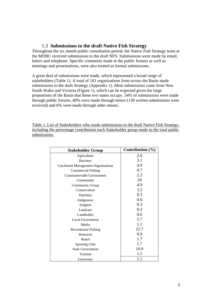## 1.3 **Submissions to the draft Native Fish Strategy**

Throughout the six month public consultation period, the Native Fish Strategy team at the MDBC received submissions to the draft NFS. Submissions were made by email, letters and telephone. Specific comments made at the public forums as well as meetings and presentations, were also treated as formal submissions.

A great deal of submissions were made, which represented a broad range of stakeholders (Table 1). A total of 161 organisations from across the Basin made submissions to the draft Strategy (Appendix 1). Most submissions came from New South Wales and Victoria (Figure 1), which can be expected given the large proportions of the Basin that these two states occupy. 54% of submissions were made through public forums, 40% were made through letters (138 written submissions were received) and 6% were made through other means.

Table 1. List of Stakeholders who made submissions to the draft Native Fish Strategy, including the percentage contribution each Stakeholder group made to the total public submissions.

| <b>Stakeholder Group</b>                  | Contribution $(\% )$ |
|-------------------------------------------|----------------------|
| Agriculture                               | 2.6                  |
| <b>Business</b>                           | 3.1                  |
| <b>Catchment Management Organisations</b> | 4.9                  |
| <b>Commercial Fishing</b>                 | 0.7                  |
| Commonwealth Government                   | 2.3                  |
| Community                                 | 29                   |
| <b>Community Group</b>                    | 4.9                  |
| Conservation                              | 3.2                  |
| Hatchery                                  | 0.3                  |
| Indigenous                                | 0.6                  |
| Irrigator                                 | 0.3                  |
| Landcare                                  | 0.3                  |
| Landholder                                | 0.6                  |
| <b>Local Government</b>                   | 5.7                  |
| Media                                     | 1.1                  |
| <b>Recreational Fishing</b>               | 22.7                 |
| Research                                  | 0.9                  |
| Retail                                    | 1.7                  |
| <b>Sporting Club</b>                      | 1.7                  |
| <b>State Government</b>                   | 10.9                 |
| Tourism                                   | 1.1                  |
| University                                | 1.1                  |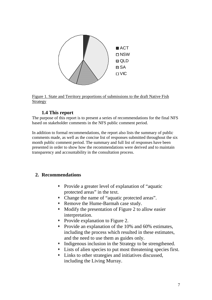

Figure 1. State and Territory proportions of submissions to the draft Native Fish Strategy

## **1.4 This report**

The purpose of this report is to present a series of recommendations for the final NFS based on stakeholder comments in the NFS public comment period.

In addition to formal recommendations, the report also lists the summary of public comments made, as well as the concise list of responses submitted throughout the six month public comment period. The summary and full list of responses have been presented in order to show how the recommendations were derived and to maintain transparency and accountability in the consultation process.

# **2. Recommendations**

- Provide a greater level of explanation of "aquatic protected areas" in the text.
- Change the name of "aquatic protected areas".
- Remove the Hume-Barmah case study.
- Modify the presentation of Figure 2 to allow easier interpretation.
- Provide explanation to Figure 2.
- Provide an explanation of the 10% and 60% estimates, including the process which resulted in these estimates, and the need to use them as guides only.
- Indigenous inclusion in the Strategy to be strengthened.
- Lists of alien species to put most threatening species first.
- Links to other strategies and initiatives discussed, including the Living Murray.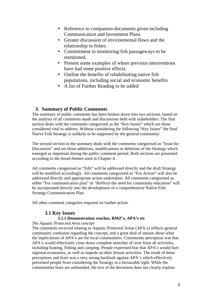- Reference to companion documents given including Communication and Investment Plans.
- Greater discussion of environmental flows and the relationship to fishes.
- Commitment to monitoring fish passageways to be mentioned.
- Present some examples of where previous interventions have had some positive effects.
- Outline the benefits of rehabilitating native fish populations, including social and economic benefits
- A list of Further Reading to be added

## **3. Summary of Public Comments**

The summary of public comments has been broken down into two sections, based on the analysis of all comments made and discussions held with stakeholders. The first section deals with the comments categorised as the "Key Issues" which are those considered vital to address. Without considering the following "Key Issues" the final Native Fish Strategy is unlikely to be supported by the general community.

The second section in the summary deals with the comments categorised as "Issue for Discussion" and are those additions, modifications or deletions of the Strategy which emerged as important during the public comment period. Both sections are presented according to the broad themes used in Chapter 4.

All comments categorised as "Edit" will be addressed directly and the draft Strategy will be modified accordingly. All comments categorised as "For Action" will also be addressed directly and appropriate action undertaken. All comments categorised as either "For communication plan" or "Reflects the need for community education" will be incorporated directly into the development of a comprehensive Native Fish Strategy Communication Plan.

All other comment categories required no further action.

# **3.1 Key Issues 3.1.1 Demonstration reaches, RMZ's, APA's etc**

## *The Aquatic Protected Area concept*

The comments received relating to Aquatic Protected Areas (APA's) reflects general community confusion regarding the concept, and a great deal of unease about what the implications of APA's are for local communities. Community perception was that APA's would effectively close down complete stretches of river from all activities, including boating, fishing and camping. People expressed fear that APA's would hurt regional economies, as well as impede on their leisure activities. The result of these perceptions and fears was a very strong backlash against APA's which effectively prevented people from considering the Strategy in a favourable light. While the communities fears are unfounded, the text of the document does not clearly explain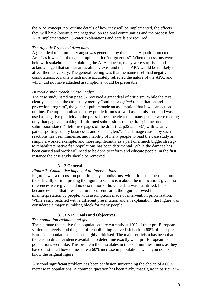the APA concept, nor outline details of how they will be implemented, the effects they will have (positive and negative) on regional communities and the process for APA implementation. Greater explanations and details are required

#### *The Aquatic Protected Area name*

A great deal of community angst was generated by the name "Aquatic Protected Area" as it was felt the name implied strict "no-go zones". When discussions were held with stakeholders, explaining the APA concept, many were surprised and acknowledged that similar areas already exist and that an APA would be unlikely to affect them adversely. The general feeling was that the name itself had negative connotations. A name which more accurately reflected the nature of the APA, and which did not have attached assumptions would be preferable.

#### *Hume-Barmah Reach "Case Study"*

The case study listed on page 37 received a great deal of criticism. While the text clearly states that the case study merely "outlines a *typical* rehabilitation and protection program", the general public made an assumption that it was an action outline. The topic dominated many public forums as well as submissions, and was used as negative publicity in the press. It became clear that many people were reading only that page and making ill-informed submissions on the draft; in fact one submission stated "I left three pages of the draft (p2, p22 and p37) with…caravan parks, sporting supply businesses and keen anglers". The damage caused by such reactions has been immense, and inability of many people to read the case study as simply a worked example, and more significantly as a part of a much bigger strategy to rehabilitate native fish populations has been detrimental. While the damage has been caused and work will need to be done to inform and educate people, in the first instance the case study should be removed.

#### **3.1.2 General**

#### *Figure 2 –Cumulative impact of all interventions*

Figure 2 was a discussion point in many submissions, with criticisms focused around the difficulty of interpreting the figure to scepticism about the implications given no references were given and no description of how the data was quantified. It also became evident that presented in its current form, the figure allowed for misinterpretation by people, with assumptions made of intervention prioritisation. While easily rectified with a different presentation and an explanation, the Figure was considered a major stumbling block for many people.

#### **3.1.3 NFS Goals and Objectives**

#### *The population estimate and goal*

The estimate that native fish populations are currently at 10% of their pre-European settlement levels, and the goal of rehabilitating native fish back to 60% of their pre-European populations has been highly criticised. The major criticism has been that there is no direct evidence available to determine exactly what pre-European fish populations were like. This problem then escalates in the communities minds as they have questioned how to measure a 60% increase in populations when you do not know the original figure.

A second significant problem has been confusion surrounding the choice of a 60% increase in populations. A common question has been "Why that figure in particular –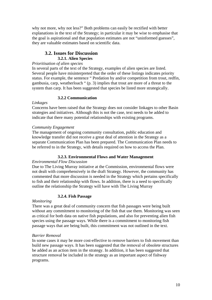why not more, why not less?" Both problems can easily be rectified with better explanations in the text of the Strategy; in particular it may be wise to emphasise that the goal is aspirational and that population estimates are not "uninformed guesses", they are valuable estimates based on scientific data.

## **3.2. Issues for Discussion 3.2.1. Alien Species**

## *Prioritisation of alien species*

In several parts of the text of the Strategy, examples of alien species are listed. Several people have misinterpreted that the order of these listings indicates priority status. For example, the sentence " Predation by and/or competition from trout, redfin, gambusia, carp, weatherloach " (p. 3) implies that trout are more of a threat to the system than carp. It has been suggested that species be listed more strategically.

### **3.2.2 Communication**

#### *Linkages*

Concerns have been raised that the Strategy does not consider linkages to other Basin strategies and initiatives. Although this is not the case, text needs to be added to indicate that there many potential relationships with existing programs.

### *Community Engagement*

The management of ongoing community consultation, public education and knowledge transfer did not receive a great deal of attention in the Strategy as a separate Communication Plan has been prepared. The Communication Plan needs to be referred to in the Strategy, with details required on how to access the Plan.

## **3.2.3. Environmental Flows and Water Management**

## *Environmental Flow Discussion*

Due to The Living Murray initiative at the Commission, environmental flows were not dealt with comprehensively in the draft Strategy. However, the community has commented that more discussion is needed in the Strategy which pertains specifically to fish and their relationship with flows. In addition, there is a need to specifically outline the relationship the Strategy will have with The Living Murray

## **3.2.4. Fish Passage**

## *Monitoring*

There was a great deal of community concern that fish passages were being built without any commitment to monitoring of the fish that use them. Monitoring was seen as critical for both data on native fish populations, and also for preventing alien fish species using the passage ways. While there is a commitment to monitoring fish passage ways that are being built, this commitment was not outlined in the text.

## *Barrier Removal*

In some cases it may be more cost-effective to remove barriers to fish movement than build new passage ways. It has been suggested that the removal of obsolete structures be added as an action item in the strategy. In addition, it has been suggested that structure removal be included in the strategy as an important aspect of fishway programs.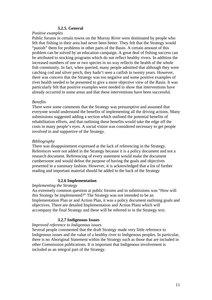## **3.2.5. General**

#### *Positive examples*

Public forums in certain towns on the Murray River were dominated by people who felt that fishing in their area had never been better. They felt that the Strategy would "punish" them for problems in other parts of the Basin. A certain amount of this problem can be solved by an education campaign. A great deal of fishing success can be attributed to stocking programs which do not reflect healthy rivers. In addition the increased numbers of one or two species in no way reflects the health of the whole fish community. In fact, when queried, many people admitted that although they were catching cod and silver perch, they hadn't seen a catfish in twenty years. However, there was concern that the Strategy was too negative and some positive examples of river health needed to be presented to give a more objective view of the Basin. It was particularly felt that positive examples were needed to show that interventions have already occurred in some areas and that these interventions have been successful.

#### *Benefits*

There were some comments that the Strategy was presumptive and assumed that everyone would understand the benefits of implementing all the driving actions. Many submissions suggested adding a section which outlined the potential benefits of rehabilitation efforts, and that outlining these benefits would take the edge off the costs in many people's eyes. A social vision was considered necessary to get people involved in and supportive of the Strategy.

#### *Bibliography*

There was disappointment expressed at the lack of referencing in the Strategy. References were not added in the Strategy because it is a policy document and not a research document. Referencing of every statement would make the document cumbersome and would defeat the purpose of having the goals and objectives presented in a summary fashion. However, it is acknowledged that a list of further reading and important material should be added to the back of the Strategy

#### **3.2.6 Implementation**

#### *Implementing the Strategy*

An extremely common question at public forums and in submissions was "How will this Strategy be implemented?" The Strategy was not intended to be an Implementation Plan or and Action Plan, it was a policy document outlining goals and objectives. There are detailed Implementation and Action Plans which will accompany the final Strategy and these will be referred to in the Strategy text.

#### **3.2.7 Indigenous Issues**

#### *Improved reference to Indigenous issues*

Several people commented that the draft Strategy made very little reference to Indigenous issues and the value of a healthy river to Indigenous peoples. In particular, there is no Aboriginal Statement within the Strategy such as those that are included in other Commission publications. It is important that Indigenous involvement is included as an integral part of the Strategy.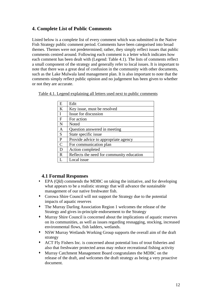# **4. Complete List of Public Comments**

Listed below is a complete list of every comment which was submitted in the Native Fish Strategy public comment period. Comments have been categorised into broad themes. Themes were not predetermined; rather, they simply reflect issues that public comments centred around. Following each comment is a letter which indicates how each comment has been dealt with (Legend: Table 4.1). The lists of comments reflect a small component of the strategy and generally refer to local issues. It is important to note that there was a great deal of confusion in the community with other documents, such as the Lake Mulwala land management plan. It is also important to note that the comments simply reflect public opinion and no judgement has been given to whether or not they are accurate.

Table 4.1. Legend explaining all letters used next to public comments

| E             | Edit                                      |
|---------------|-------------------------------------------|
| K             | Key issue, must be resolved               |
| I             | Issue for discussion                      |
| F             | For action                                |
| N             | Noted                                     |
| Α             | Question answered in meeting              |
| S             | State specific issue                      |
| P             | Provide advice to appropriate agency      |
| $\mathcal{C}$ | For communication plan                    |
| D             | Action completed                          |
| R             | Reflects the need for community education |
|               | Local issue                               |

## **4.1 Formal Responses**

- EPA (Qld) commends the MDBC on taking the initiative, and for developing what appears to be a realistic strategy that will advance the sustainable management of our native freshwater fish.
- Corowa Shire Council will not support the Strategy due to the potential impacts of aquatic reserves
- The Murray Darling Association Region 1 welcomes the release of the Strategy and gives in-principle endorsement to the Strategy
- Murray Shire Council is concerned about the implications of aquatic reserves on its communities, as well as issues regarding resnagging, stocking, increased environmental flows, fish ladders, wetlands.
- NSW Murray Wetlands Working Group supports the overall aim of the draft strategy
- ACT Fly Fishers Inc. is concerned about potential loss of trout fisheries and also that freshwater protected areas may reduce recreational fishing activity
- Murray Catchment Management Board congratulates the MDBC on the release of the draft, and welcomes the draft strategy as being a very proactive document.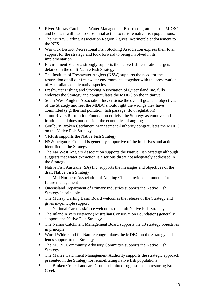- River Murray Catchment Water Management Board congratulates the MDBC and hopes it will lead to substantial action to restore native fish populations.
- The Murray Darling Association Region 2 gives in-principle endorsement to the NFS
- Warwick District Recreational Fish Stocking Association express their total support for the strategy and look forward to being involved in its implementation
- Environment Victoria strongly supports the native fish restoration targets detailed in the draft Native Fish Strategy
- The Institute of Freshwater Anglers (NSW) supports the need for the restoration of all our freshwater environments, together with the preservation of Australian aquatic native species
- Freshwater Fishing and Stocking Association of Queensland Inc. fully endorses the Strategy and congratulates the MDBC on the initiative
- South West Anglers Association Inc. criticise the overall goal and objectives of the Strategy and feel the MDBC should right the wrongs they have committed (e.g. thermal pollution, fish passage, flow regulation)
- Trout Rivers Restoration Foundation criticise the Strategy as emotive and irrational and does not consider the economics of angling
- Goulburn Broken Catchment Management Authority congratulates the MDBC on the Native Fish Strategy
- VRFish supports the Native Fish Strategy
- NSW Irrigators Council is generally supportive of the initiatives and actions identified in the Strategy
- The Far West Anglers Association supports the Native Fish Strategy although suggests that water extraction is a serious threat not adequately addressed in the Strategy
- Native Fish Australia (SA) Inc. supports the messages and objectives of the draft Native Fish Strategy
- The Mid Northern Association of Angling Clubs provided comments for future management
- Queensland Department of Primary Industries supports the Native Fish Strategy in principle.
- The Murray Darling Basin Board welcomes the release of the Strategy and gives in-principle support
- The National Carp Taskforce welcomes the draft Native Fish Strategy
- The Inland Rivers Network (Australian Conservation Foundation) generally supports the Native Fish Strategy
- The Namoi Catchment Management Board supports the 13 strategy objectives in principle
- World Wide Fund for Nature congratulates the MDBC on the Strategy and lends support to the Strategy
- The MDBC Community Advisory Committee supports the Native Fish Strategy
- The Mallee Catchment Management Authority supports the strategic approach presented in the Strategy for rehabilitating native fish populations
- The Broken Creek Landcare Group submitted suggestions on restoring Broken Creek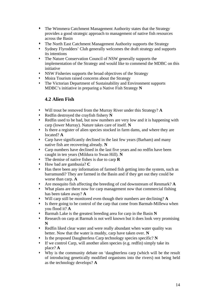- The Wimmera Catchment Management Authority states that the Strategy provides a good strategic approach to management of native fish resources across the Basin
- The North East Catchment Management Authority supports the Strategy
- Sydney Flyrodders' Club generally welcomes the draft strategy and supports its intentions
- The Nature Conservation Council of NSW generally supports the implementation of the Strategy and would like to commend the MDBC on this initiative
- NSW Fisheries supports the broad objectives of the Strategy
- Moira Tourism raised concerns about the Strategy
- The Victorian Department of Sustainability and Environment supports MDBC's initiative in preparing a Native Fish Strategy **N**

## **4.2 Alien Fish**

- Will trout be removed from the Murray River under this Strategy? **A**
- Redfin destroyed the crayfish fishery **N**
- Redfin used to be bad, but now numbers are very low and it is happening with carp (lower Murray). Nature takes care of itself. **N**
- Is there a register of alien species stocked in farm dams, and where they are located? **A**
- Carp have significantly declined in the last few years (Barham) and many native fish are recovering already. **N**
- Carp numbers have declined in the last five years and no redfin have been caught in ten years (Mildura to Swan Hill). **N**
- The demise of native fishes is due to carp **R**
- How bad are gambusia? **C**
- Has there been any information of farmed fish getting into the system, such as barramundi? They are farmed in the Basin and if they get out they could be worse than carp. **A**
- Are mosquito fish affecting the breeding of cod downstream of Renmark? **A**
- What plans are there now for carp management now that commercial fishing has been taken away? **A**
- Will carp still be monitored even though their numbers are declining? **A**
- Is there going to be control of the carp that come from Barmah-Millewa when you flood it? **A**
- Barmah Lake is the greatest breeding area for carp in the Basin **N**
- Research on carp at Barmah is not well known but it does look very promising **N**
- Redfin liked clear water and were really abundant when water quality was better. Now that the water is muddy, carp have taken over. **N**
- Is the proposed Daughterless Carp technology species specific? **N**
- If we control Carp, will another alien species (e.g. redfin) simply take its place? **A**
- Why is the community debate on 'daughterless carp (which will be the result of introducing genetically modified organisms into the rivers) not being held as the technology develops? **A**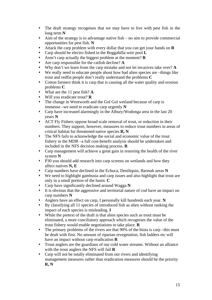- The draft strategy recognises that we may have to live with pest fish in the long term **N**
- $\star$  Aim of the strategy is to advantage native fish no aim to provide commercial opportunities for pest fish. **N**
- Attack the carp problem with every dollar that you can get your hands on **R**
- Carp should be electro fished in the Boggabilla weir pool **L**
- Aren't carp actually the biggest problem at the moment? **R**
- Are carp responsible for the catfish decline? **A**
- Why don't we learn from the carp mistake and not let invasives take over? **A**
- We really need to educate people about how bad alien species are –things like trout and redfin people don't really understand the problems **C**
- Cotton farmers think it is carp that is causing all the water quality and erosion problems **C**
- What are the 11 pest fish? **A**
- Will you eradicate trout? **R**
- The change in Wentworth and the Gol Gol wetland because of carp is immense –we need to eradicate carp urgently **N**
- Carp have increased alarmingly in the Albury/Wodonga area in the last 20 years **N**
- ACT Fly Fishers oppose broad scale removal of trout, or reduction in their numbers. They support, however, measures to reduce trout numbers in areas of critical habitat for threatened native species **R, N**
- The NFS fails to acknowledge the social and economic value of the trout fishery in the MDB –a full cost-benefit analysis should be undertaken and included in the NFS decision making process. **R**
- Carp management will achieve a great gain in restoring the health of the river system **N**
- P30 you should add research into carp screens on wetlands and how they affect natives **N, E**
- Carp numbers have declined in the Echuca, Deniliquin, Barmah areas **N**
- We need to highlight gambusia and carp issues and also highlight that trout are only in a small portion of the basin. **C**
- Carp have significantly declined around Wagga **N**
- It is obvious that the aggressive and territorial nature of cod have an impact on carp numbers **N**
- Anglers have an effect on carp, I personally kill hundreds each year. **N**
- By classifying all 11 species of introduced fish as alien without ranking the impact of each species is misleading. **I**
- While the pretext of the draft is that alien species such as trout must be eliminated, a more conciliatory approach which recognises the value of the trout fishery would enable negotiations to take place. **R**
- The primary problems of the rivers are that 90% of the biota is carp –this must be dealt with first. No amount of riparian revegetation, fish ladders etc will have an impact without carp eradication **R**
- Trout anglers are the guardians of our cold water streams. Without an alliance with the trout anglers the NFS will fail **R**
- Carp will not be totally eliminated from our rivers and identifying management measures rather than eradication measures should be the priority **R, N**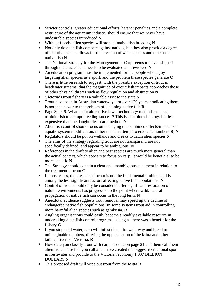- Stricter controls, greater educational efforts, harsher penalties and a complete restructure of the aquarium industry should ensure that we never have undesirable species introduced **N**
- Without floods, alien species will stop all native fish breeding **N**
- Not only do alien fish compete against natives, but they also provide a degree of disturbance that allows for the invasion of weed species and other non native fish **N**
- The National Strategy for the Management of Carp seems to have "slipped through the cracks" and needs to be evaluated and reviewed **N**
- An education program must be implemented for the people who enjoy targeting alien species as a sport, and the problem these species generate **C**
- There is little research to suggest, with the possible exception of trout in headwater streams, that the magnitude of exotic fish impacts approaches those of other physical threats such as flow regulation and abstraction **N**
- Victoria's trout fishery is a valuable asset to the state **N**
- Trout have been in Australian waterways for over 120 years, eradicating them is not the answer to the problem of declining native fish **R**
- Page 30, 4.9. What about alternative lower technology methods such as triploid fish to disrupt breeding success? This is also biotechnology but less expensive than the daughterless carp method. **N**
- Alien fish control should focus on managing the combined effects/impacts of aquatic system modification, rather than an attempt to eradicate numbers **R, N**
- Regulators should be put on wetlands and creeks to catch alien species **N**
- The aims of the strategy regarding trout are not transparent; are not specifically defined; and appear to be ambiguous. **N**
- References in the draft to alien and pest species are much more general than the actual context, which appears to focus on carp. It would be beneficial to be more specific **N**
- The Strategy should contain a clear and unambiguous statement in relation to the treatment of trout **C**
- In most cases, the presence of trout is not the fundamental problem and is among the less significant factors affecting native fish populations. **N**
- Control of trout should only be considered after significant restoration of natural environments has progressed to the point where wild, natural propagation of native fish can occur in the long term. **N**
- Anecdotal evidence suggests trout removal may speed up the decline of endangered native fish populations. In some systems trout aid in controlling more harmful alien species such as gambusia. **R**
- Angling organisations could easily become a readily available resource in undertaking alien fish control programs as long as there was a benefit for the fishery **C**
- If you stop cold water, carp will infest the entire waterway and breed to unimaginable numbers, dirtying the upper section of the Mitta and other tailrace rivers of Victoria. **R**
- How dare you classify trout with carp, as done on page 21 and them call them alien fish. These fish you call alien have created the biggest recreational sport in freshwater and provide to the Victorian economy 1.037 BILLION DOLLARS **N**
- This proposed draft will wipe out trout from the Mitta **R**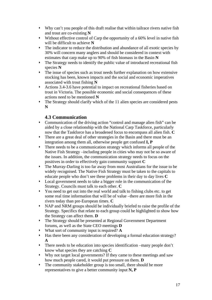- Why can't you people of this draft realise that within tailrace rivers native fish and trout are co-existing **N**
- Without effective control of Carp the opportunity of a 60% level in native fish will be difficult to achieve **N**
- The indicator to reduce the distribution and abundance of all exotic species by 30% will concern many anglers and should be considered in context with estimates that carp make up to 90% of fish biomass in the Basin **N**
- The Strategy needs to identify the public value of introduced recreational fish species **N**
- The issue of species such as trout needs further explanation on how extensive stocking has been, known impacts and the social and economic imperatives associated with trout fishing **N**
- Actions 3.4-3.6 have potential to impact on recreational fisheries based on trout in Victoria. The possible economic and social consequences of these actions need to be mentioned **N**
- The Strategy should clarify which of the 11 alien species are considered pests **N**

## **4.3 Communication**

- Communication of the driving action "control and manage alien fish" can be aided by a close relationship with the National Carp Taskforce, particularly now that the Taskforce has a broadened focus to encompass all alien fish. **C**
- There are a great deal of other strategies in the Basin and there must be an integration among them all, otherwise people get confused **I, P**
- There needs to be a communication strategy which informs all people of the Native Fish Strategy –including people in cities who may not be so aware of the issues. In addition, the communication strategy needs to focus on the positives in order to effectively gain community support **C**
- The Murray-Darling is too far away from most Australians for the issue to be widely recognised. The Native Fish Strategy must be taken to the capitals to educate people who don't see these problems in their day to day lives **C**
- Local government needs to take a bigger role in the communication of the Strategy. Councils must talk to each other. **C**
- You need to get out into the real world and talk to fishing clubs etc. to get some real time information that will be of value –there are more fish in the rivers today than pre-European times. **C**
- NAP and NRM groups should be individually briefed to raise the profile of the Strategy. Specifics that relate to each group could be highlighted to show how the Strategy can affect them. **D**
- The Strategy should be presented at Regional Government Department forums, as well as the State CEO meetings **D**
- What sort of community input is required? **A**
- Has there been any consideration of developing a formal education strategy? **A**
- There needs to be education into species identification –many people don't know what species they are catching **C**
- Why not target local governments? If they came to these meetings and saw how much people cared, it would put pressure on them. **D**
- The community stakeholder group is too small, there should be more representatives to give a better community input **N, P**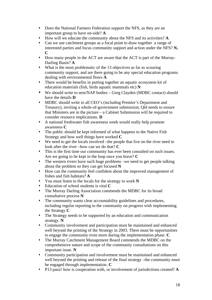- Does the National Farmers Federation support the NFS, as they are an important group to have on-side? **A**
- How will we educate the community about the NFS and its activities? **A**
- Can we use catchment groups as a focal point to draw together a range of interested parties and focus community support and action under the NFS? **N, C**
- How many people in the ACT are aware that the ACT is part of the Murray-Darling Basin? **A**
- What is the most problematic of the 13 objectives as far as scouring community support, and are there going to be any special education programs dealing with environmental flows **A**
- There would be benefits in putting together an aquatic ecosystem kit of education materials (fish, birds aquatic mammals etc) **N**
- We should write to nrm/NAP bodies Greg Clayden (MDBC contact) should have the details **D**
- MDBC should write to all CEO's (including Premier's Department and Treasury), inviting a whole-of-government submission; Qld needs to ensure that Ministers are in the picture – a Cabinet Submission will be required to consider resource implications. **D**
- A national freshwater fish awareness week would really help promote awareness **C**
- The public should be kept informed of what happens to the Native Fish Strategy and how well things have worked **C**
- We need to get the locals involved –the people that live on the river need to look after the river –how can we do that? **C**
- This is the first time our community has ever been consulted on such issues. Are we going to be kept in the loop once you leave? **C**
- The western rivers have such huge problems –we need to get people talking about the problem so they can get focused **N**
- How can the community feel confident about the improved management of fishes and fish habitats? **A**
- You must listen to the locals for the strategy to work **N**
- Education of school students is vital **C**
- The Murray Darling Association commends the MDBC for its broad consultative process **N**
- The community wants clear accountability guidelines and procedures, including regular reporting to the community on progress with implementing the Strategy **C**
- The Strategy needs to be supported by an education and communication strategy. **N**
- Community involvement and participation must be maintained and enhanced well beyond the printing of the Strategy in 2003. There must be opportunities to engage the community even more during the implementation phase. **C**
- The Murray Catchment Management Board commends the MDBC on the comprehensive nature and scope of the community consultations on this important issue. **N**
- Community participation and involvement must be maintained and enhanced well beyond the printing and release of the final strategy –the community must be engaged through implementation. **C**
- P13 para1 how is cooperation with, or involvement of jurisdictions created? **A**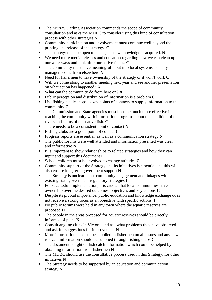- The Murray Darling Association commends the scope of community consultation and asks the MDBC to consider using this kind of consultation process with other strategies **N**
- Community participation and involvement must continue well beyond the printing and release of the strategy. **C**
- The strategy must be open to change as new knowledge is acquired. **N**
- We need more media releases and education regarding how we can clean up our waterways and look after our native fishes. **C**
- The community must have meaningful input into local systems as many managers come from elsewhere **N**
- Need for fishermen to have ownership of the strategy or it won't work **C**
- Will we come along to another meeting next year and see another presentation on what action has happened? **A**
- What can the community do from here on? **A**
- Public perception and distribution of information is a problem **C**
- Use fishing tackle shops as key points of contacts to supply information to the community **C**
- The Commission and State agencies must become much more effective in reaching the community with information programs about the condition of our rivers and status of our native fish. **C**
- There needs to be a consistent point of contact **N**
- Fishing clubs are a good point of contact **C**
- Progress reports are essential, as well as a communication strategy **N**
- The public forums were well attended and information presented was clear and informative **N**
- It is important to show relationships to related strategies and how they can input and support this document **I**
- School children must be involved to change attitudes **C**
- Community support of the Strategy and its initiatives is essential and this will also ensure long term government support **N**
- The Strategy is unclear about community engagement and linkages with existing state government regulatory strategies **I**
- For successful implementation, it is crucial that local communities have ownership over the desired outcomes, objectives and key actions **C**
- Despite its pivotal importance, public education and knowledge exchange does not receive a strong focus as an objective with specific actions. **I**
- No public forums were held in any town where the aquatic reserves are proposed **D**
- The people in the areas proposed for aquatic reserves should be directly informed of plans **N**
- Consult angling clubs in Victoria and ask what problems they have observed and ask for suggestions for improvement **N**
- More information needs to be supplied to fishermen on all issues and any new, relevant information should be supplied through fishing clubs **C**
- The document is light on fish catch information which could be helped by obtaining information from fishermen **N**
- The MDBC should use the consultative process used in this Strategy, for other initiatives **N**
- The Strategy needs to be supported by an education and communication strategy **N**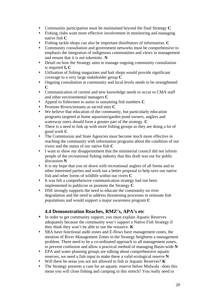- Community participation must be maintained beyond the final Strategy **C**
- Fishing clubs want more effective involvement in monitoring and managing native fish **C**
- Fishing tackle shops can also be important distributors of information. **C**
- Community consultation and government networks must be comprehensive to emphasis the integration of indigenous communities and views in management and ensure that it is not tokenistic. **N**
- Detail on how the Strategy aims to manage ongoing community consultation is required **I, C**
- Utilisation of fishing magazines and bait shops would provide significant coverage to a very large stakeholder group **C**
- Ongoing consultation at community and local levels needs to be strengthened **C**
- Communication of current and new knowledge needs to occur to CMA staff and other environmental managers **C**
- Appeal to fishermen to assist in sustaining fish numbers **C**
- Promote Rivers/streams as sacred sites **C**
- We believe that education of the community, but particularly education programs targeted at home aquarium/garden pond owners, anglers and waterway users should form a greater part of the strategy. **C**
- There is a need to link up with more fishing groups as they are doing a lot of good work **C**
- The Commission and State Agencies must become much more effective in reaching the community with information programs about the condition of our rivers and the status of our native fish **C**
- I want to show my disappointment that the ministerial council did not inform people of the recreational fishing industry that this draft was out for public discussion **N**
- It is my hope that you sit down with recreational anglers of all forms and to other interested parties and work out a better proposal to help save our native fish and other forms of wildlife within our rivers **C**
- It was felt a comprehensive communication strategy had not been implemented to publicise or promote the Strategy **C**
- DSE strongly supports the need to educate the community on river degradation and the need to address threatening processes to reinstate fish populations and would support a major awareness program **C**

# **4.4 Demonstration Reaches, RMZ's, APA's etc**

- In order to get community support, you must explain Aquatic Reserves adequately because the community won't support a Native Fish Strategy if they think they won't be able to use the resource. **K**
- SRA have functional audit zones and E-flows have management zones, the mention of River Management Zones in the Strategy heightens a management problem. There need to be a co-ordinated approach to all management zones, to prevent confusion and allow a practical method of managing Basin-wide **N**
- EPA and water planning groups are talking about comprehensive aquatic reserves, we need a fish input to make these a valid ecological reserve **N**
- Will there be areas you are not allowed to fish in Aquatic Reserves? **K**
- The Strategy presents a case for an aquatic reserve below Mulwala –does this mean you will close fishing and camping in this stretch? You really need to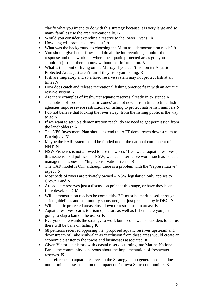clarify what you intend to do with this strategy because it is very large and so many families use the area recreationally. **K**

- Would you consider extending a reserve to the lower Ovens? **A**
- How long will protected areas last? **A**
- What was the background to choosing the Mitta as a demonstration reach? **A**
- You should give better flows, and do all the interventions, monitor the response and then work out where the aquatic protected areas go –you shouldn't just put them in now without that information. **N**
- What is the point of living on the Murray if you can't fish on it? Aquatic Protected Areas just aren't fair if they stop you fishing. **K**
- Fish are migratory and so a fixed reserve system may not protect fish at all times **N**
- How does catch and release recreational fishing practice fit in with an aquatic reserve system **K**
- Are there examples of freshwater aquatic reserves already in existence **K**
- The notion of 'protected aquatic zones' are not new from time to time, fish agencies impose severe restrictions on fishing to protect native fish numbers **N**
- I do not believe that locking the river away from the fishing public is the way to go **N**
- If we want to set up a demonstration reach, do we need to get permission from the landholders? **A**
- The NFS Investment Plan should extend the ACT demo reach downstream to Burrinjuck. **N**
- Maybe the FAR system could be funded under the national component of NHT. **N**
- NSW Fisheries is not allowed to use the words "freshwater aquatic reserves"; this issue is "bad politics" in NSW; we need alternative words such as "special management zones" or "high conservation rivers" **K**
- The CAR model is OK, although there is a problem with the "representative" aspect. **N**
- Most beds of rivers are privately owned NSW legislation only applies to Crown Land **N**
- Are aquatic reserves just a discussion point at this stage, or have they been fully developed? **K**
- Will demonstration reaches be competitive? It must be merit based, through strict guidelines and community sponsored, not just preached by MDBC. **N**
- Will aquatic protected areas close down or restrict use in areas? **K**
- Aquatic reserves scares tourism operators as well as fishers –are you just going to slap a ban on the users? **K**
- Everyone here wants the strategy to work but no-one wants outsiders to tell us there will be bans on fishing **K**
- 68 petitions received opposing the "proposed aquatic reserves upstream and downstream of Lake Mulwala" as "exclusion from these areas would create an economic disaster to the towns and businesses associated. **K**
- Given Victoria's history with coastal reserves turning into Marine National Parks, the community is nervous about the implementation of freshwater reserves. **K**
- The reference to aquatic reserves in the Strategy is too generalised and does not permit an assessment on the impact on Corowa Shire communities **K**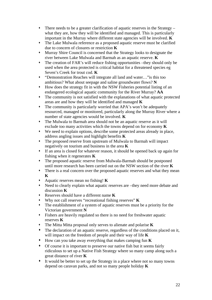- There needs to be a greater clarification of aquatic reserves in the Strategy what they are, how they will be identified and managed. This is particularly important in the Murray where different state agencies will be involved. **K**
- The Lake Mulwala reference as a proposed aquatic reserve must be clarified due to concern of closures or restriction **K**
- Murray Shire Council is concerned that the Strategy looks to designate the river between Lake Mulwala and Barmah as an aquatic reserve. **K**
- The creation of FAR's will reduce fishing opportunities –they should only be used when the area protected is critical habitat for a threatened species eg Seven's Creek for trout cod. **K**
- "Demonstration Reaches will integrate all land and water…"is this too ambitious? What about seepage and saline groundwater flows? **N**
- How does the strategy fit in with the NSW Fisheries potential listing of an endangered ecological aquatic community for the River Murray? **AA**
- The community is not satisfied with the explanations of what aquatic protected areas are and how they will be identified and managed **K**
- The community is particularly worried that APA's won't be adequately resourced, managed or monitored, particularly along the Murray River where a number of state agencies would be involved. **K**
- The Mulwala to Barmah area should not be an aquatic reserve as it will exclude too many activities which the towns depend on for economy **K**
- We need to explain options, describe some protected areas already in place, address angling issues and highlight benefits **K**
- The proposed reserve from upstream of Mulwala to Barmah will impact negatively on tourism and business in the area **K**
- If an area is closed for whatever reason, it should be opened back up again for fishing when it regenerates **K**
- The proposed aquatic reserve from Mulwala-Barmah should be postponed until more research has been carried out on the NSW section of the river **K**
- There is a real concern over the proposed aquatic reserves and what they mean **K**
- Aquatic reserves mean no fishing! **K**
- Need to clearly explain what aquatic reserves are –they need more debate and discussion **K**
- Reserves should have a different name **K**
- Why not call reserves "recreational fishing reserves" **K**
- The establishment of a system of aquatic reserves must be a priority for the Victorian government **N**
- Fishers are heavily regulated so there is no need for freshwater aquatic reserves **K**
- The Mitta Mitta proposal only serves to alienate and polarise **K**
- The declaration of an aquatic reserve, regardless of the conditions placed on it, will impact on the freedom of people and their way of life **K**
- How can you take away everything that makes camping fun **K**
- Of course it is important to preserve our native fish but it seems fairly ridiculous to set up a Native Fish Strategy where so many camp along such a great distance of river **K**
- It would be better to set up the Strategy in a place where not so many towns depend on caravan parks, and not so many people holiday **K**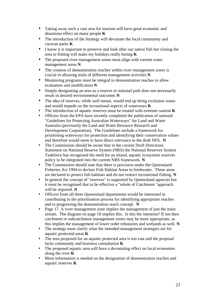- Taking away such a vast area for tourism will have great economic and disastrous effect on many people **K**
- The introduction of the Strategy will devastate the local community and caravan parks **K**
- I know it is important to preserve and look after our native fish but closing the area to fishing will make my holidays really boring **K**
- The proposed river management zones must align with current water management areas **N**
- The creation of demonstration reaches within river management zones is crucial in allowing trials of different management activities **N**
- Monitoring programs must be integral to demonstration reaches to allow evaluation and modification **N**
- Simply designating an area as a reserve or national park does not necessarily result in desired environmental outcomes **N**
- The idea of reserves, while well meant, would end up being exclusion zones and would impede on the recreational aspects of waterways **K**
- The introduction of aquatic reserves must be treated with extreme caution **K**
- Officers from the EPA have recently completed the publication of national "Guidelines for Protecting Australian Waterways" for Land and Water Australia (previously the Land and Water Resource Research and Development Corporation). The Guidelines include a framework for prioritising waterways for protection and identifying their conservation values and therefore would seem to have direct relevance to the draft NFS. **N**
- The Commission should be aware that in the current Draft Directions Statement on National Reserve System (NRS) the National Reserves System Taskforce has recognised the need for an inland, aquatic ecosystem reserves policy to be integrated into the current NRS framework. **N**
- The Commission should note that there is provision under the Queensland Fisheries Act 1994 to declare Fish Habitat Areas in freshwater. These areas are declared to protect fish habitats and do not restrict recreational fishing. **N**
- In general the concept of "reserves" is supported by Queensland agencies but it must be recognised that to be effective a "whole of Catchment "approach will be required. **N**
- Officers from all three Queensland departments would be interested in contributing to the prioritisation process for identifying appropriate reaches and to progressing the demonstration reach concept. **N**
- Page 17. A river management zone implies the management of just the main stream. The diagram on page 18 implies this. Is this the intention? If not then catchment or subcatchment management zones may be more appropriate, as this implies the management of lower order tributaries and wetlands as well. **N**
- The strategy must clarify what the intended management strategies are for aquatic protected areas **K**
- The area proposed for an aquatic protected area is too vast and the proposal lacks community and business consultation **K**
- The proposed aquatic area will have a devastating effect on local economies along the river **K**
- More information is needed on the designation of demonstration reaches and aquatic reserves **K**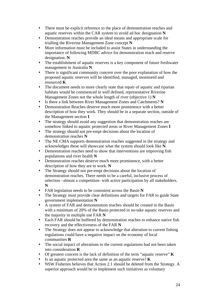- There must be explicit reference to the place of demonstration reaches and aquatic reserves within the CAR system to avoid ad hoc designation **N**
- Demonstration reaches provide an ideal means and appropriate scale for trialling the Riverine Management Zone concept **N**
- More information must be included to assist States in understanding the importance of following MDBC advice for demonstration reach and reserve designation. **N**
- The establishment of aquatic reserves is a key component of future freshwater management in Australia **N**
- There is significant community concern over the poor explanation of how the proposed aquatic reserves will be identified, managed, monitored and resourced **K**
- The document needs to more clearly state that repair of aquatic and riparian habitats would be commenced in well defined, representative Riverine Management Zones not the whole length of river (objective 1) **N**
- Is there a link between River Management Zones and Catchments? **N**
- Demonstration Reaches deserve much more prominence with a better description of how they work. They should be in a separate section, outside of the Management section **I**
- The strategy should avoid any suggestion that demonstration reaches are somehow linked to aquatic protected areas or River Management Zones **I**
- The strategy should not pre-empt decisions about the location of demonstration reaches **N**
- The NE CMA supports demonstration reaches suggested in the strategy and acknowledges these will showcase what the system should look like **N**
- Demonstration reaches need to show that interventions are improving fish populations and river health **N**
- Demonstration reaches deserve much more prominence, with a better description of how they are to work. **N**
- The Strategy should not pre-empt decisions about the location of demonstration reaches. There needs to be a careful, inclusive process of selection –almost a competition- with active participation by all stakeholders. **N**
- FAR legislation needs to be consistent across the Basin **N**
- The Strategy must provide clear definitions and targets for FAR to guide State government implementation **N**
- A system of FAR and demonstration reaches should be created in the Basin with a minimum of 20% of the Basin protected in no-take aquatic reserves and the majority in multiple use FAR **N**
- Each FAR should be buffered by demonstration reaches to enhance native fish recovery and the effectiveness of the FAR **N**
- The Strategy does not appear to acknowledge that alteration to current fishing regulations could have a negative impact on the economy of local communities **R**
- The social impact of alterations to the current regulations had not been taken into consideration **R**
- Of greatest concern is the lack of definition of the term "aquatic reserve" **K**
- Is an aquatic protected area the same as an aquatic reserve? **K**
- NSW Fisheries believes that Action 2.1 should be deleted from the Strategy. A superior approach would be to implement such initiatives as voluntary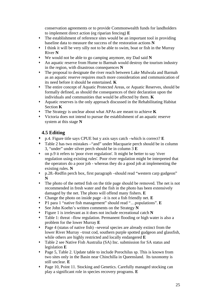conservation agreements or to provide Commonwealth funds for landholders to implement direct action (eg riparian fencing) **E**

- The establishment of reference sites would be an important tool in providing baseline data to measure the success of the restoration actions **N**
- I think it will be very silly not to be able to swim, boat or fish in the Murray River **N**
- We would not be able to go camping anymore, my Dad said **N**
- An aquatic reserve from Hume to Barmah would destroy the tourism industry in the region, with disastrous consequences **N**
- The proposal to designate the river reach between Lake Mulwala and Barmah as an aquatic reserve requires much more consideration and communication of its need before it should be entertained. **K**
- The entire concept of Aquatic Protected Areas, or Aquatic Reserves, should be formally defined, as should the consequences of their declaration upon the individuals and communities that would be affected by them. **K**
- Aquatic reserves is the only approach discussed in the Rehabilitating Habitat Section **K**
- The Strategy is unclear about what APAs are meant to achieve **K**
- Victoria does not intend to pursue the establishment of an aquatic reserve system at this stage **N**

## **4.5 Editing**

- p.4. Figure title says CPUE but y axis says catch –which is correct? **E**
- Table 2 has two mistakes –"and" under Macquarie perch should be in column 3, "under" under silver perch should be in column 3 **E**
- on p.9 it refers to 'poor river regulation'. It might be better to say 'river regulation using existing rules'. Poor river regulation might be interpreted that the operators do a poor job - whereas they do a good job at implementing the existing rules. **N**
- p.28.-Redfin perch box, first paragraph –should read "western carp gudgeon" **N**
- The photo of the netted fish on the title page should be removed. The net is not recommended in fresh water and the fish in the photo has been extensively damaged by the net. The photo will offend many fishers. **E**
- Change the photo on inside page –it is not a fish friendly net. **E**
- P1 para 1 "native fish management" should read "…populations". **E**
- See John Koehn's written comments on the Strategy **N**
- Figure 1 is irrelevant as it does not include recreational catch **N**
- Table 1: threat –flow regulation. Permanent flooding or high water is also a problem for the lower Murray **E**
- Page 4 (status of native fish) –several species are already extinct from the lower River Murray –trout cod, southern purple spotted gudgeon and glassfish, while others are highly restricted and locally endangered **E**
- Table 2 see Native Fish Australia (SA) Inc. submission for SA status and legislation **E**
- Page 5, Table 2. Update table to include Porochilus sp. This is known from two sites only in the Basin near Chinchilla in Queensland. Its taxonomy is still unclear. **E**
- Page 10, Point 11. Stocking and Genetics. Carefully managed stocking can play a significant role in species recovery programs. **E**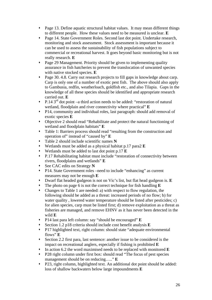- Page 13. Define aquatic structural habitat values. It may mean different things to different people. How these values need to be measured is unclear. **E**
- Page 14. State Government Roles. Second last dot point. Undertake research, monitoring and stock assessment. Stock assessment is important because it can be used to assess the sustainability of fish populations subject to commercial or recreational harvest. It goes beyond basic monitoring but is not really research. **E**
- Page 29 Management. Priority should be given to implementing quality assurance in fish hatcheries to prevent the translocation of unwanted species with native stocked species. **E**
- Page 30. 4.8. Carry out research projects to fill gaps in knowledge about carp. Carp is only one of a number of exotic pest fish. The above should also apply to Gambusia, redfin, weatherloach, goldfish etc., and also Tilapia. Gaps in the knowledge of all these species should be identified and appropriate research carried out. **E**
- P.14  $3<sup>rd</sup>$  dot point –a third action needs to be added: "restoration of natural wetland, floodplain and river connectivity where practical" **E**
- P14, community and individual roles, last paragraph: should add removal of exotic species **E**
- Objective 2 should read "Rehabilitate and protect the natural functioning of wetland and floodplain habitats" **E**
- Table 1: Barriers process should read "resulting from the construction and operation of" instead of "caused by" **E**
- Table 2 should include scientific names **N**
- Wetlands must be added as a physical habitat p.17 para2 **E**
- Wetlands must be added to last dot point p.17 **E**
- P.17 Rehabilitating habitat must include "restoration of connectivity between rivers, floodplains and wetlands" **E**
- See CAC edits on Strategy **N**
- P14. State Government roles –need to include "enhancing" as current measures may not be enough **E**
- Dwarf flat headed gudgeon is not on Vic's list, but flat head gudgeon is. **E**
- The photo on page 6 is not the correct technique for fish handling **E**
- Changes to Table 1 are needed: a) with respect to flow regulation, the following should be added as a threat: increased periods of no flow; b) for water quality, lowered water temperature should be listed after pesticides; c) for alien species, carp must be listed first; d) remove exploitation as a threat as fisheries are managed, and remove EHNV as it has never been detected in the wild **E**
- P14 last para left column: say "should be encouraged" **E**
- Section 1.2 p18 criteria should include cost benefit analysis **E**
- P17 highlighted text, right column: should state "adequate environmental flows" **E**
- Section 2.2 first para, last sentence: another issue to be considered is the impact on recreational anglers, especially if fishing is prohibited **E**
- In action 6.2 the word maximised needs to be replaced with monitored **E**
- P28 right column under first box: should read "The focus of pest species management should be on reducing….." **E**
- P23, right column, highlighted text. An additional dot point should be added: loss of shallow backwaters below large impoundments **E**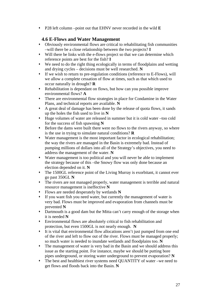P28 left column –point out that EHNV never recorded in the wild **E**

## **4.6 E-Flows and Water Management**

- Obviously environmental flows are critical to rehabilitating fish communities –will there be a close relationship between the two projects? **I**
- Will there be links with the e-flows project so that we can determine which reference points are best for the fish? **I**
- We need to do the right thing ecologically in terms of floodplains and wetting and drying cycles – decisions must be well researched. **N**
- If we wish to return to pre-regulation conditions (reference to E-Flows), will we allow a complete cessation of flow at times, such as that which used to occur naturally in drought? **R**
- Rehabilitation is dependant on flows, but how can you possible improve environmental flows? **A**
- There are environmental flow strategies in place for Condamine in the Water Plans, and technical reports are available. **N**
- A great deal of damage has been done by the release of quota flows, it sands up the holes the fish used to live in **N**
- Huge volumes of water are released in summer but it is cold water –too cold for the success of fish spawning **N**
- Before the dams were built there were no flows to the rivers anyway, so where is the use in trying to simulate natural conditions? **R**
- Water management is the most important factor in ecological rehabilitation; the way the rivers are managed in the Basin is extremely bad. Instead of pumping millions of dollars into all of the Strategy's objectives, you need to address the management of the water. **N**
- Water management is too political and you will never be able to implement the strategy because of this –the Snowy flow was only done because an election depended on it. **N**
- The 1500GL reference point of the Living Murray is exorbitant, it cannot ever go past 350GL **N**
- The rivers are not managed properly, water management is terrible and natural resource management is ineffective **N**
- Flows are needed desperately by wetlands **N**
- If you want fish you need water, but currently the management of water is very bad. Flows must be improved and evaporation from channels must be prevented **N**
- Dartmouth is a good dam but the Mitta can't carry enough of the storage when it is needed **N**
- Environmental flows are absolutely critical to fish rehabilitation and protection, but even 1500GL is not nearly enough. **N**
- It is vital that environmental flow allocations aren't just pumped from one end of the river and left to flow out of the river. Flows must be managed properly; so much water is needed to inundate wetlands and floodplains too. **N**
- The management of water is very bad in the Basin and we should address this issue as the starting point. For instance, maybe we should be putting bore pipes underground, or storing water underground to prevent evaporation? **N**
- The best and healthiest river systems need QUANTITY of water –we need to get flows and floods back into the Basin. **N**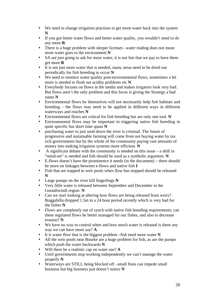- We need to change irrigation practises to get more water back into the system **N**
- If you got better water flows and better water quality, you wouldn't need to do any more **R**
- There is a huge problem with sleeper licenses –water trading does not mean more water goes to the environment **N**
- SA are just going to ask for more water, it is not fair that we pay to have them get more **R**
- It is not just more water that is needed, many areas need to be dried out periodically for fish breeding to occur **N**
- We need to monitor water quality post-environmental flows, sometimes a bit more is needed to flush out acidity problems etc **N**
- Everybody focuses on flows in the media and makes irrigators look very bad. But flows aren't the only problem and this focus is giving the Strategy a bad name **N**
- Environmental flows by themselves will not necessarily help fish habitats and breeding – the flows may need to be applied in different ways in different waterways and reaches **N**
- Environmental flows are critical for fish breeding but are only one tool. **N**
- Environmental flows may be important in triggering native fish breeding in quite specific but short time spans **N**
- purchasing water to just send down the river is criminal. The future of progressive and sustainable farming will come from not buying water by tax rich governments but by the whole of the community paying vast amounts of money into making irrigation systems more efficient. **N**
- $\bullet$  A significant debate with the community is needed on this issue a shift in "mind-set" is needed and fish should be used as a symbolic argument. **N**
- E-flows doesn't have the prominence it needs (in the document) there should be more on linkages between e-flows and native fish **I**
- Fish that are trapped in weir pools when flow has stopped should be released **N**
- Large pumps on the river kill fingerlings **N**
- Very little water is released between September and December in the Goondiwindi region **N**
- Can we start looking at altering how flows are being released from weirs? Boggabilla dropped 1.5m in a 24 hour period recently which is very bad for the fishes **N**
- Flows are completely out of synch with native fish breeding requirements; can these regulated flows be better managed for our fishes, and also to decrease erosion? **N**
- We have no way to control when and how much water is released is there any way we can have more say? **A**
- It is water flow that is the biggest problem –fish need more water **N**
- All the weir pools near Bourke are a huge problem for fish, as are the pumps which push the water backwards **N**
- Will there be a realistic cap on water use? **A**
- Until governments stop working independently we can't manage the water properly **N**
- Waterways are STILL being blocked off –small fines can impede small business but big business just doesn't notice **N**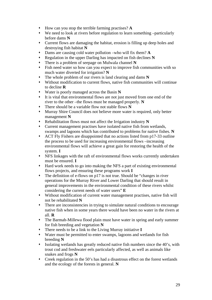- How can you stop the terrible farming practises? **A**
- We need to look at rivers before regulation to learn something –particularly before dams **N**
- Current flows are damaging the habitat, erosion is filling up deep holes and destroying fish habitat **N**
- Dams are causing cold water pollution –who will fix them? **A**
- Regulation in the upper Darling has impacted on fish declines **N**
- There is a problem of seepage on Mulwala channel **N**
- Fish need water so how can you expect to improve fish communities with so much water diverted for irrigation? **N**
- The whole problem of our rivers is land clearing and dams **N**
- Without modification to current flows, native fish communities will continue to decline **R**
- Water is poorly managed across the Basin **N**
- It is vital that environmental flows are not just moved from one end of the river to the other –the flows must be managed properly. **N**
- There should be a variable flow not stable flows **N**
- Murray Shire Council does not believe more water is required, only better management **N**
- Rehabilitation flows must not affect the Irrigation industry **N**
- Current management practises have isolated native fish from wetlands, swamps and lagoons which has contributed to problems for native fishes. **N**
- ACT Fly Fishers are disappointed that no actions listed from p17-33 outline the process to be used for increasing environmental flows –increasing environmental flows will achieve a great gain for restoring the health of the system. **I**
- NFS linkages with the raft of environmental flows works currently undertaken must be ensured. **I**
- Hard work needs to go into making the NFS a part of existing environmental flows projects, and ensuring these programs work **I**
- The definition of e-flows on p17 is not true. Should be "changes in river operations for the Murray River and Lower Darling that should result in general improvements in the environmental condition of these rivers whilst considering the current needs of water users" **E**
- Without modification of current water management practises, native fish will not be rehabilitated **N**
- There are inconsistencies in trying to simulate natural conditions to encourage native fish when in some years there would have been no water in the rivers at all. **R**
- The Barmah-Millewa flood plain must have water in spring and early summer for fish breeding and vegetation **N**
- There needs to be a link to the Living Murray initiative **I**
- Water must be permitted to enter swamps, lagoons and wetlands for fish breeding **N**
- Isolating wetlands has greatly reduced native fish numbers since the 40's, with trout cod and freshwater eels particularly affected, as well as animals like snakes and frogs **N**
- Creek regulation in the 50's has had a disastrous effect on the forest wetlands and the ecology of the forests in general. **N**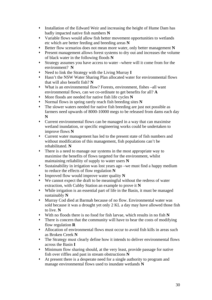- Installation of the Edward Weir and increasing the height of Hume Dam has badly impacted native fish numbers **N**
- Variable flows would allow fish better movement opportunities to wetlands etc which are better feeding and breeding areas **N**
- Better flow scenarios does not mean more water, only better management **N**
- Present management allows forest systems to dry out and increases the volume of black water in the following floods **N**
- Strategy assumes you have access to water –where will it come from for the environment? **N**
- Need to link the Strategy with the Living Murray **I**
- Hasn't the NSW Water Sharing Plan allocated water for environmental flows that will also benefit fish? **N**
- What is an environmental flow? Forests, environment, fishes –all want environmental flows, can we co-ordinate to get benefits for all? **A**
- More floods are needed for native fish life cycles **N**
- Normal flows in spring rarely reach fish breeding sites **N**
- The slower waters needed for native fish breeding are just not possible as farmers need upwards of 8000-10000 megs to be released from dams each day **N**
- Current environmental flows can be managed in a way that can maximise wetland inundation, or specific engineering works could be undertaken to improve flows **N**
- Current water management has led to the present state of fish numbers and without modification of this management, fish populations can't be rehabilitated. **N**
- There is a need to manage our systems in the most appropriate way to maximise the benefits of flows targeted for the environment, whilst maintaining reliability of supply to water users **N**
- Sustainability in irrigation was lost years ago –we must find a happy medium to reduce the effects of flow regulation **N**
- Improved flow would improve water quality **N**
- We cannot expect the draft to be meaningful without the redress of water extraction, with Cubby Station an example to prove it **N**
- While irrigation is an essential part of life in the Basin, it must be managed sustainably **N**
- Murray Cod died at Barmah because of no flow. Environmental water was sold because it was a drought yet only 2 KL a day may have allowed those fish to live. **N**
- With no floods there is no food for fish larvae, which results in no fish **N**
- There is concern that the community will have to bear the costs of modifying flow regulation **R**
- Allocation of environmental flows must occur to avoid fish kills in areas such as Broken Creek **N**
- The Strategy must clearly define how it intends to deliver environmental flows across the Basin **I**
- Minimum flow sharing should, at the very least, provide passage for native fish over riffles and past in stream obstructions **N**
- At present there is a desperate need for a single authority to program and manage environmental flows used to inundate wetlands **N**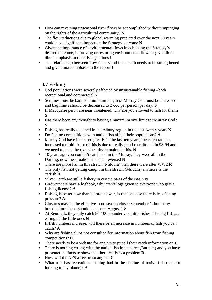- How can reversing unseasonal river flows be accomplished without impinging on the rights of the agricultural community? **N**
- The flow reductions due to global warming predicted over the next 50 years could have significant impact on the Strategy outcome **N**
- Given the importance of environmental flows in achieving the Strategy's desired outcome, improving or restoring environmental flows is given little direct emphasis in the driving actions **I**
- The relationship between flow factors and fish health needs to be strengthened and given more emphasis in the report **I**

# **4.7 Fishing**

- Cod populations were severely affected by unsustainable fishing –both recreational and commercial **N**
- Set lines must be banned, minimum length of Murray Cod must be increased and bag limits should be decreased to 2 cod per person per day. **S**
- If Macquarie perch are near threatened, why are you allowed to fish for them? **S**
- Has there been any thought to having a maximum size limit for Murray Cod? **S**
- Fishing has really declined in the Albury region in the last twenty years **N**
- Do fishing competitions with native fish affect their populations? **A**
- Murray Cod have increased greatly in the last ten years; the catch rate has increased tenfold. A lot of this is due to really good recruitment in 93-94 and we need to keep the rivers healthy to maintain this. **N**
- 10 years ago you couldn't catch cod in the Murray, they were all in the Darling, now the situation has been reversed **N**
- There are more fish in this stretch (Mildura) than there were after WW2 **R**
- The only fish not getting caught in this stretch (Mildura) anymore is the catfish **R**
- Silver Perch are still a fishery in certain parts of the Basin **N**
- Birdwatchers have a logbook, why aren't logs given to everyone who gets a fishing license? **A**
- Fishing is better now than before the war, is that because there is less fishing pressure? **A**
- Closures may not be effective –cod season closes September 1, but many breed before then –should be closed August 1 **S**
- At Renmark, they only catch 80-100 pounders, no little fishes. The big fish are eating all the little ones **N**
- If fish numbers increase, will there be an increase in numbers of fish you can catch? **A**
- Why are fishing clubs not consulted for information about fish from fishing competitions? **C**
- There needs to be a website for anglers to put all their catch information on **C**
- There is nothing wrong with the native fish in this area (Barham) and you have presented no facts to show that there really is a problem **R**
- How will the NFS affect trout anglers **C**
- What role has recreational fishing had in the decline of native fish (but not looking to lay blame)? **A**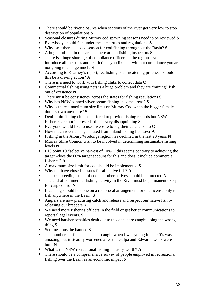- There should be river closures when sections of the river get very low to stop destruction of populations **S**
- Seasonal closures during Murray cod spawning seasons need to be reviewed **S**
- Everybody should fish under the same rules and regulations **S**
- Why isn't there a closed season for cod fishing throughout the Basin? **S**
- A huge problem in this area is there are no fishing inspectors **S**
- There is a huge shortage of compliance officers in the region you can introduce all the rules and restrictions you like but without compliance you are not going to change much. **S**
- According to Kearney's report, rec fishing is a threatening process should this be a driving action? **A**
- There is a need to work with fishing clubs to collect data **C**
- Commercial fishing using nets is a huge problem and they are "mining" fish out of existence **N**
- There must be consistency across the states for fishing regulations **S**
- Why has NSW banned silver bream fishing in some areas? **S**
- Why is there a maximum size limit on Murray Cod when the bigger females don't spawn anymore? **S**
- Deniliquin fishing club has offered to provide fishing records but NSW Fisheries are not interested –this is very disappointing **S**
- Everyone would like to use a website to log their catches onto **C**
- How much revenue is generated from inland fishing licenses? **A**
- Fishing in the Albury/Wodonga region has declined in the last 20 years **N**
- Murray Shire Council wish to be involved in determining sustainable fishing levels **N**
- P13 point 10 "selective harvest of 10%..." this seems contrary to achieving the target –does the 60% target account for this and does it include commercial fisheries? **A**
- A maximum size limit for cod should be implemented **S**
- Why not have closed seasons for all native fish? **A**
- The best breeding stock of cod and other natives should be protected **N**
- The end of commercial fishing activity in the River must be permanent except for carp control **N**
- Licensing should be done on a reciprocal arrangement, or one license only to fish anywhere in the Basin. **S**
- Anglers are now practising catch and release and respect our native fish by releasing our breeders **N**
- We need more fisheries officers in the field or get better communications to report illegal events. **S**
- We need harsher penalties dealt out to those that are caught doing the wrong thing **S**
- Set lines must be banned **S**
- The numbers of fish and species caught when I was young in the 40's was amazing, but it steadily worsened after the Gulpa and Edwards weirs were built **N**
- What is the NSW recreational fishing industry worth? **A**
- There should be a comprehensive survey of people employed in recreational fishing over the Basin as an economic impact **N**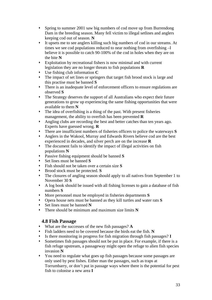- Spring to summer 2001 saw big numbers of cod move up from Burrendong Dam in the breeding season. Many fell victim to illegal setlines and anglers keeping cod out of season. **N**
- It upsets me to see anglers killing such big numbers of cod in our streams. At times we see cod populations reduced to near nothing from overfishing –I believe it is possible to catch 90-100% of the cod in holes when they are on the bite **N**
- Exploitation by recreational fishers is now minimal and with current legislation they are no longer threats to fish populations **R**
- Use fishing club information **C**
- The impact of set lines or springers that target fish brood stock is large and this practise must be banned **S**
- There is an inadequate level of enforcement officers to ensure regulations are observed **S**
- The Strategy deserves the support of all Australians who expect their future generations to grow up experiencing the same fishing opportunities that were available to them **N**
- The idea of overfishing is a thing of the past. With present fisheries management, the ability to overfish has been prevented **R**
- Angling clubs are recording the best and better catches than ten years ago. Experts have guessed wrong. **R**
- There are insufficient numbers of fisheries officers to police the waterways **S**
- Anglers in the Wakool, Murray and Edwards Rivers believe cod are the best experienced in decades, and silver perch are on the increase **R**
- The document fails to identify the impact of illegal activities on fish populations **N**
- Passive fishing equipment should be banned **S**
- Set lines must be banned **S**
- Fish should not be taken over a certain size **S**
- Brood stock must be protected. **S**
- The closures of angling season should apply to all natives from September 1 to November 30 **S**
- A log book should be issued with all fishing licenses to gain a database of fish numbers **S**
- More personnel must be employed in fisheries departments **S**
- Opera house nets must be banned as they kill turtles and water rats **S**
- Set lines must be banned **N**
- There should be minimum and maximum size limits **N**

## **4.8 Fish Passage**

- What are the successes of the new fish passages? **A**
- Fish ladders need to be covered because the birds eat the fish. **N**
- Is there monitoring in progress for fish migration through fish passages? **I**
- Sometimes fish passages should not be put in place. For example, if there is a fish refuge upstream, a passageway might open the refuge to alien fish species invasion **N**
- You need to regulate what goes up fish passages because some passages are only used by pest fishes. Either man the passages, such as traps at Torrumbarry, or don't put in passage ways where there is the potential for pest fish to colonise a new area **I**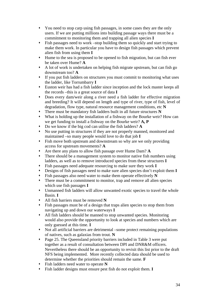- You need to stop carp using fish passages, in some cases they are the only users. If we are putting millions into building passage ways there must be a commitment to monitoring them and trapping all alien species **I**
- Fish passages need to work –stop building them so quickly and start trying to make them work. In particular you have to design fish passages which prevent alien fish from using them **I**
- Hume to the sea is proposed to be opened to fish migration, but can fish ever be taken over Hume? **A**
- A lot of work is undertaken on helping fish migrate upstream, but can fish go downstream too? **A**
- If you put fish ladders on structures you must commit to monitoring what uses the ladder, like Torrumbarry **I**
- Euston weir has had a fish ladder since inception and the lock master keeps all the records –this is a great source of data **I**
- Does every dam/weir along a river need a fish ladder for effective migration and breeding? It will depend on length and type of river, type of fish, level of degradation, flow type, natural resource management conditions, etc **N**
- There must be mandatory fish ladders built in all future structures **N**
- What is holding up the installation of a fishway on the Bourke weir? How can we get funding to install a fishway on the Bourke weir? **A, P**
- Do we know if the big cod can utilise the fish ladders? **A**
- No use putting in structures if they are not properly manned, monitored and maintained –so many people would love to do that job **I**
- Fish move both upstream and downstream so why are we only providing access for upstream movements? **A**
- Are there any plans to allow fish passage over Hume Dam? **A**
- There should be a management system to monitor native fish numbers using ladders, as well as to remove introduced species from these structures **I**
- Fish passages need adequate resourcing to make sure they work **I**
- Designs of fish passages need to make sure alien species don't exploit them **I**
- Fish passages also need water to make them operate effectively **N**
- There must be a commitment to monitor, trap and remove all alien species which use fish passages **I**
- Unmanned fish ladders will allow unwanted exotic species to travel the whole Basin. **I**
- All fish barriers must be removed **N**
- Fish passages must be of a design that traps alien species to stop them from navigating up and down our waterways **I**
- All fish ladders should be manned to stop unwanted species. Monitoring would also provide the opportunity to look at species and numbers which are only guessed at this time. **I**
- Not all artificial barriers are detrimental –some protect remaining populations of natives, such as galaxias from trout. **N**
- Page 25. The Queensland priority barriers included in Table 3 were put together as a result of consultation between DPI and DNR&M officers. Nevertheless there should be an opportunity to revisit this list prior to the draft NFS being implemented. More recently collected data should be used to determine whether the priorities should remain the same. **F**
- Fish ladders need water to operate **N**
- Fish ladder designs must ensure pest fish do not exploit them. **I**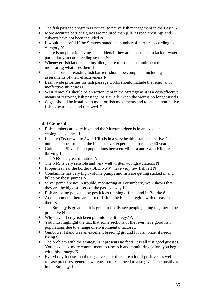- The fish passage program is critical to native fish management in the Basin **N**
- More accurate barrier figures are required than p.10 as road crossings and culverts have not been included **N**
- It would be useful if the Strategy stated the number of barriers according to category **N**
- There is no point in having fish ladders if they are closed due to lack of water, particularly in cod breeding season **N**
- Whenever fish ladders are installed, there must be a commitment to monitoring what uses them **I**
- The database of existing fish barriers should be completed including assessments of their effectiveness **F**
- Basin wide priorities for fish passage works should include the removal of ineffective structures **I**
- Weir removals should be an action item in the Strategy as it is a cost-effective means of restoring fish passage, particularly when the weir is no longer used **I**
- Cages should be installed to monitor fish movements and to enable non-native fish to be trapped and removed. **I**

## **4.9 General**

- Fish numbers are very high and the Murrumbidgee is in an excellent ecological balance. **I**
- Locally (Tocumwal to Swan Hill) is in a very healthy state and native fish numbers appear to be at the highest level experienced for some 40 years **I**
- Golden and Silver Perch populations between Mildura and Swan Hill are thriving **I**
- The NFS is a great initiative **N**
- The NFS is very sensible and very well written –congratulations **N**
- Properties near the border (QLD/NSW) have very few fish left **N**
- Condamine has very high volume pumps and fish are getting sucked in and killed by these pumps **N**
- Silver perch are not in trouble, monitoring at Torrumbarry weir shows that they are the biggest users of the passage way **I**
- Fish are being poisoned by pesticides running off the land in Bourke **S**
- At the moment, there are a lot of fish in the Echuca region with diseases on them **S**
- The Strategy is great and it is great to finally see people getting together to be proactive **N**
- Why haven't crayfish been put into the Strategy? **A**
- You must highlight the fact that some sections of the river have good fish populations due to a range of environmental factors **I**
- Gunbower Island was an excellent breeding ground for fish once, it needs fixing **S**
- The problem with the strategy is it presents no facts, it is all just good guesses. You need a lot more commitment to research and monitoring before you begin with this strategy **N**
- Everybody focuses on the negatives, but there are a lot of positives as well release practises, general awareness etc. You need to also give some positives in the Strategy. **I**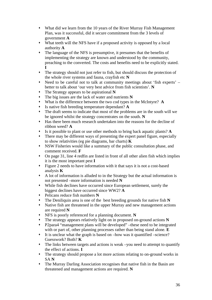- What did we learn from the 10 years of the River Murray Fish Management Plan, was it successful, did it secure commitment from the 3 levels of government **A**
- What teeth will the NFS have if a proposed activity is opposed by a local authority **A**
- The language of the NFS is presumptive, it presumes that the benefits of implementing the strategy are known and understood by the community, preaching to the converted. The costs and benefits need to be explicitly stated. **I**
- The strategy should not just refer to fish, but should discuss the protection of the whole river systems and fauna, crayfish etc **N**
- Need to be careful not to talk at community meetings about 'fish experts' better to talk about 'our very best advice from fish scientists'. **N**
- The Strategy appears to be aspirational **N**
- The big issues are the lack of water and nutrients **N**
- What is the difference between the two cod types in the McIntyre? **A**
- Is native fish breeding temperature dependant? **A**
- The draft seems to indicate that most of the problems are in the south will we be ignored whilst the strategy concentrates on the south. **N**
- Has there been much research undertaken into the reasons for the decline of ribbon weed? **A**
- Is it possible to plant or use other methods to bring back aquatic plants? **A**
- There may be different ways of presenting the expert panel figure, especially to show relativities (eg pie diagrams, bar charts) **K**
- NSW Fisheries would like a summary of the public consultation phase, and comment received. **F**
- On page 31, line 4 redfin are listed in front of all other alien fish which implies it is the most important pest **I**
- Figure 2 needs to have information with it that says it is not a cost-based analysis **K**
- A lot of information is alluded to in the Strategy but the actual information is not presented –more information is needed **N**
- While fish declines have occurred since European settlement, surely the biggest declines have occurred since WW2? **A**
- Pelicans reduce fish numbers **N**
- The Deniliquin area is one of the best breeding grounds for native fish **N**
- Native fish are threatened in the upper Murray and new management actions are required **N**
- NFS is poorly referenced for a planning document. **N**
- The strategy appears relatively light on in proposed on-ground actions **N**
- P2para4 "management plans will be developed" –these need to be integrated with or part of, other planning processes rather than being stand alone. **E**
- $\cdot$  It is unclear what the graph is based on –how was it quantified –science? Guesswork? Both? **K**
- The links between targets and actions is weak –you need to attempt to quantify the effect of actions. **I**
- The strategy should propose a lot more actions relating to on-ground works in SA **N**
- The Murray Darling Association recognises that native fish in the Basin are threatened and management actions are required. **N**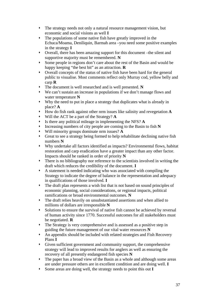- The strategy needs not only a natural resource management vision, but economic and social visions as well **I**
- The populations of some native fish have greatly improved in the Echuca/Moama, Deniliquin, Barmah area –you need some positive examples in the strategy **I**
- Overall, there has been amazing support for this document –the silent and supportive majority must be remembered. **N**
- Some people in regions don't care about the rest of the Basin and would be happy keeping "the best bit" as an attraction. **R**
- Overall concepts of the status of native fish have been hard for the general public to visualise. Most comments reflect only Murray cod, yellow belly and carp **R**
- The document is well researched and is well presented. **N**
- We can't sustain an increase in populations if we don't manage flows and water temperature **N**
- Why the need to put in place a strategy that duplicates what is already in place? **A**
- How do fish rank against other nrm issues like salinity and revegetation **A**
- Will the ACT be a part of the Strategy? **A**
- Is there any political mileage in implementing the NFS? **A**
- Increasing numbers of city people are coming to the Basin to fish **N**
- Will minority groups dominate nrm issues? **A**
- Great to see a strategy being formed to help rehabilitate declining native fish numbers **N**
- Why undertake all factors identified as impacts? Environmental flows, habitat restoration and carp eradication have a greater impact than any other factor. Impacts should be ranked in order of priority **N**
- There is no bibliography nor reference to the scientists involved in writing the draft which reduces the credibility of the document. **I**
- A statement is needed indicating who was associated with compiling the Strategy to indicate the degree of balance in the representation and adequacy in qualifications of those involved. **I**
- The draft plan represents a wish list that is not based on sound principles of economic planning, social considerations, or regional impacts, political ramifications or broad environmental outcomes. **N**
- The draft relies heavily on unsubstantiated assertions and when allied to millions of dollars are irresponsible **N**
- Solutions to ensure the survival of native fish cannot be achieved by reversal of human activity since 1770. Successful outcomes for all stakeholders must be negotiated. **R**
- The Strategy is very comprehensive and is assessed as a positive step in guiding the future management of our vital water resources **N**
- An appendix should be included with related strategies and Fish Recovery Plans **I**
- Given sufficient government and community support, the comprehensive strategy will lead to improved results for anglers as well as ensuring the recovery of all presently endangered fish species **N**
- The paper has a broad view of the Basin as a whole and although some areas are under pressure others are in excellent condition and are doing well. **I**
- Some areas are doing well, the strategy needs to point this out **I**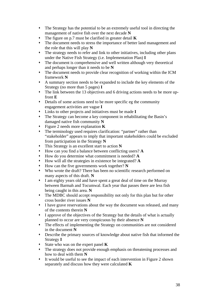- The Strategy has the potential to be an extremely useful tool in directing the management of native fish over the next decade **N**
- The figure on p.7 must be clarified in greater detail **K**
- The document needs to stress the importance of better land management and the role that this will play **N**
- The strategy needs to refer and link to other initiatives, including other plans under the Native Fish Strategy (i.e. Implementation Plan) **I**
- The document is comprehensive and well written although very theoretical and perhaps longer than it needs to be **N**
- The document needs to provide clear recognition of working within the ICM framework **N**
- A summary section needs to be expanded to include the key elements of the Strategy (no more than 5 pages) **I**
- The link between the 13 objectives and 6 driving actions needs to be more upfront **E**
- Details of some actions need to be more specific eg the community engagement activities are vague **I**
- Links to other projects and initiatives must be made **I**
- The Strategy can become a key component in rehabilitating the Basin's damaged native fish community **N**
- Figure 2 needs more explanation **K**
- The terminology used requires clarification: "partner" rather than "stakeholder" appears to imply that important stakeholders could be excluded from participation in the Strategy **N**
- This Strategy is an excellent start to action **N**
- How can you find a balance between conflicting users? **A**
- How do you determine what commitment is needed? **A**
- How will all the strategies in existence be integrated? **A**
- How can the five governments work together? **N**
- Who wrote the draft? There has been no scientific research performed on many aspects of this draft. **N**
- I am eighty years old and have spent a great deal of time on the Murray between Barmah and Tocumwal. Each year that passes there are less fish being caught in this area. **N**
- The MDBC should accept responsibility not only for this plan but for other cross border river issues **N**
- I have grave reservations about the way the document was released, and many of the contents therein **N**
- I approve of the objectives of the Strategy but the details of what is actually planned to occur are very conspicuous by their absence **N**
- The effects of implementing the Strategy on communities are not considered in the document **N**
- Describe the primary sources of knowledge about native fish that informed the Strategy **I**
- State who was on the expert panel **K**
- The strategy does not provide enough emphasis on threatening processes and how to deal with them **N**
- It would be useful to see the impact of each intervention in Figure 2 shown separately and discuss how they were calculated **K**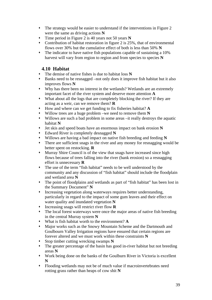- The strategy would be easier to understand if the interventions in Figure 2 were the same as driving actions **N**
- Time period in Figure 2 is 40 years not 50 years **N**
- Contribution of habitat restoration in figure 2 is 25%, that of environmental flows over 30% but the cumulative effect of both is less than 50% **N**
- The indicator to have native fish populations capable of sustaining a 10% harvest will vary from region to region and from species to species **N**

# **4.10 Habitat**

- The demise of native fishes is due to habitat loss **N**
- Banks need to be resnagged –not only does it improve fish habitat but it also improves flows **N**
- Why has there been no interest in the wetlands? Wetlands are an extremely important facet of the river system and deserve more attention **A**
- What about all the logs that are completely blocking the river? If they are acting as a weir, can we remove them? **R**
- How and where can we get funding to fix fisheries habitat? **A**
- Willow trees are a huge problem –we need to remove them **N**
- Willows are such a bad problem in some areas –it really destroys the aquatic habitat **N**
- Jet skis and speed boats have an enormous impact on bank erosion **N**
- Edward River is completely desnagged **N**
- Willows are having a bad impact on native fish breeding and feeding **N**
- There are sufficient snags in the river and any money for resnagging would be better spent on restocking. **R**
- Murray Shire Council is of the view that snags have increased since high flows because of trees falling into the river (bank erosion) so a resnagging effort is unnecessary **R**
- The use of the term "fish habitat" needs to be well understood by the community and any discussion of "fish habitat" should include the floodplain and wetland area **N**
- The point of floodplains and wetlands as part of "fish habitat" has been lost in the Summary Document" **N**
- Increasing vegetation along waterways requires better understanding, particularly in regard to the impact of some gum leaves and their effect on water quality and inundated vegetation **N**
- Increasing snags will restrict river flow **R**
- The local forest waterways were once the major areas of native fish breeding in the central Murray system **N**
- What is fish habitat worth to the environment? **A**
- Major works such as the Snowy Mountain Scheme and the Dartmouth and Goulbourn Valley Irrigation regions have ensured that certain regions are forever altered and we must work within these constraints **N**
- Stop timber cutting wrecking swamps **N**
- The greater percentage of the basin has good in-river habitat but not breeding areas **N**
- Work being done on the banks of the Goulburn River in Victoria is excellent **N**
- Flooding wetlands may not be of much value if macroinvertebrates need rotting grass rather than heaps of cow shit **N**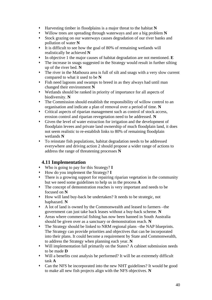- Harvesting timber in floodplains is a major threat to the habitat **N**
- Willow trees are spreading through waterways and are a big problem **N**
- Stock grazing on our waterways causes degradation of our river banks and pollution of water **N**
- It is difficult to see how the goal of 80% of remaining wetlands will realistically be achieved **N**
- In objective 1 the major causes of habitat degradation are not mentioned. **E**
- The increase in snags suggested in the Strategy would result in further silting up of the river bed. **N**
- The river in the Mathoura area is full of silt and snags with a very slow current compared to what it used to be **N**
- Fish need lagoons and swamps to breed in as they always had until man changed their environment **N**
- Wetlands should be ranked in priority of importance for all aspects of biodiversity. **N**
- The Commission should establish the responsibility of willow control to an organisation and indicate a plan of removal over a period of time. **N**
- Critical aspects of riparian management such as control of stock access, erosion control and riparian revegetation need to be addressed. **N**
- Given the level of water extraction for irrigation and the development of floodplain levees and private land ownership of much floodplain land, it does not seem realistic to re-establish links to 80% of remaining floodplain wetlands **N**
- To reinstate fish populations, habitat degradation needs to be addressed everywhere and driving action 2 should propose a wider range of actions to address the range of threatening processes **N**

## **4.11 Implementation**

- Who is going to pay for this Strategy? **I**
- How do you implement the Strategy? **I**
- There is a growing support for repairing riparian vegetation in the community but we need some guidelines to help us in the process **A**
- The concept of demonstration reaches is very important and needs to be focused on **N**
- How will land buy-back be undertaken? It needs to be strategic, not haphazard. **N**
- A lot of land is owned by the Commonwealth and leased to farmers –the government can just take back leases without a buy-back scheme. **N**
- Areas where commercial fishing has now been banned in South Australia should be given over as a sanctuary or demonstration reach. **N**
- The Strategy should be linked to NRM regional plans –the NAP blueprints. The Strategy can provide priorities and objectives that can be incorporated into their plans. It could become a requirement by State and Commonwealth, to address the Strategy when planning each year. **N**
- Will implementation fall primarily on the States? A cabinet submission needs to be made **D**
- Will a benefits cost analysis be performed? It will be an extremely difficult task **A**
- Can the NFS be incorporated into the new NHT guidelines? It would be good to make all new fish projects align with the NFS objectives. **N**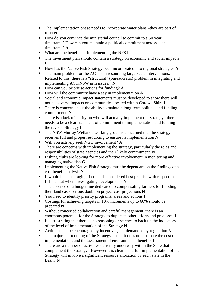- The implementation phase needs to incorporate water plans –they are part of ICM **N**
- How do you convince the ministerial council to commit to a 50 year timeframe? How can you maintain a political commitment across such a timeframe? **A**
- What are the benefits of implementing the NFS **I**
- The investment plan should contain a strategy on economic and social impacts **I**
- How has the Native Fish Strategy been incorporated into regional strategies **A**
- The main problem for the ACT is in resourcing large-scale interventions. Related to this, there is a "structural" (bureaucratic) problem in integrating and implementing ACT/NSW nrm issues. **N**
- How can you prioritise actions for funding? **A**
- How will the community have a say in implementation **A**
- Social and economic impact statements must be developed to show there will not be adverse impacts on communities located within Corowa Shire **I**
- There is concern about the ability to maintain long-term political and funding commitment. **N**
- There is a lack of clarity on who will actually implement the Strategy –there needs to be a clear statement of commitment to implementation and funding in the revised Strategy **I**
- The NSW Murray Wetlands working group is concerned that the strategy receives full and proper resourcing to ensure its implementation **N**
- Will you actively seek NGO involvement? **A**
- There are concerns with implementing the strategy, particularly the roles and responsibilities of state agencies and their likely commitment. **N**
- Fishing clubs are looking for more effective involvement in monitoring and managing native fish **C**
- Implementing the Native Fish Strategy must be dependant on the findings of a cost benefit analysis **N**
- It would be encouraging if councils considered best practise with respect to fish habitat when investigating developments **N**
- The absence of a budget line dedicated to compensating farmers for flooding their land casts serious doubt on project cost projections **N**
- You need to identify priority programs, areas and actions **I**
- Costings for achieving targets in 10% increments up to 60% should be prepared **N**
- Without concerted collaboration and careful management, there is an enormous potential for the Strategy to duplicate other efforts and processes **I**
- It is frustrating that there is no reasoning or science to back up the indicators of the level of implementation of the Strategy **N**
- Actions must be encouraged by incentives, not demanded by regulation **N**
- The major shortcoming of the Strategy is that it does not estimate the cost of implementation, and the assessment of environmental benefits **I**
- There are a number of activities currently underway within the State that complement the Strategy. However it is clear that a full implementation of the Strategy will involve a significant resource allocation by each state in the Basin. **N**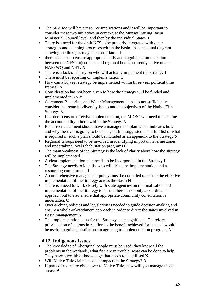- The SRA too will have resource implications and it will be important to consider these two initiatives in context, at the Murray Darling Basin Ministerial Council level, and then by the individual States. **I**
- There is a need for the draft NFS to be properly integrated with other strategies and planning processes within the basin. A conceptual diagram showing the linkages may be appropriate. **I**
- there is a need to ensure appropriate early and ongoing communication between the NFS project team and regional bodies currently active under NAPSWQ and NHT. **N**
- There is a lack of clarity on who will actually implement the Strategy **I**
- There must be reporting on implementation **C**
- How can a 50 year strategy be implemented within three year political time frames? **N**
- Consideration has not been given to how the Strategy will be funded and implemented in NSW **I**
- Catchment Blueprints and Water Management plans do not sufficiently consider in stream biodiversity issues and the objectives of the Native Fish Strategy **N**
- In order to ensure effective implementation, the MDBC will need to examine the accountability criteria within the Strategy **N**
- Each river catchment should have a management plan which indicates how and why the river is going to be managed. It is suggested that a full list of what is required in such a plan should be included as an appendix to the Strategy **N**
- Regional Groups need to be involved in identifying important riverine zones and undertaking local rehabilitation programs **C**
- The main weakness of the Strategy is the lack of clarity about how the strategy will be implemented **I**
- A clear implementation plan needs to be incorporated in the Strategy **I**
- The Strategy needs to identify who will drive the implementation and a resourcing commitment. **I**
- A comprehensive management policy must be compiled to ensure the effective implementation of the Strategy across the Basin **N**
- There is a need to work closely with state agencies on the finalisation and implementation of the Strategy to ensure there is not only a coordinated approach but to also ensure that appropriate community consultation is undertaken. **C**
- Over-arching policies and legislation is needed to guide decision-making and ensure a whole-of-catchment approach in order to direct the states involved in Basin management **N**
- The implementation costs for the Strategy seem significant. Therefore, prioritisation of actions in relation to the benefit achieved for the cost would be useful to guide jurisdictions in agreeing to implementation programs **N**

## **4.12 Indigenous Issues**

- The knowledge of Aboriginal people must be used; they know all the problems in the wetlands, what fish are in trouble, what can be done to help. They have a wealth of knowledge that needs to be utilised **N**
- Will Native Title claims have an impact on the Strategy? **A**
- If parts of rivers are given over to Native Title, how will you manage those areas? **A**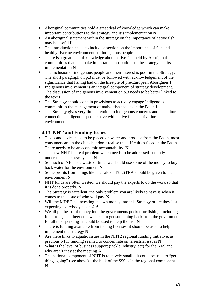- Aboriginal communities hold a great deal of knowledge which can make important contributions to the strategy and it's implementation **N**
- An aboriginal statement within the strategy on the importance of native fish may be useful **I**
- The introduction needs to include a section on the importance of fish and healthy riverine environments to Indigenous people **I**
- There is a great deal of knowledge about native fish held by Aboriginal communities that can make important contributions to the strategy and its implementation **N**
- The inclusion of indigenous people and their interest is poor in the Strategy. The short paragraph on p.3 must be followed with acknowledgement of the significance that fishing had on the lifestyle of pre-European Aborigines **I**
- Indigenous involvement is an integral component of strategy development. The discussion of indigenous involvement on p.3 needs to be better linked to the text **I**
- The Strategy should contain provisions to actively engage Indigenous communities the management of native fish species in the Basin **I**
- The Strategy gives very little attention to indigenous concerns and the cultural connections indigenous people have with native fish and riverine environments **I**

# **4.13 NHT and Funding Issues**

- Taxes and levies need to be placed on water and produce from the Basin, most consumers are in the cities but don't realise the difficulties faced in the Basin. There needs to be an economic accountability. **N**
- The new NHT is a real problem which needs to be addressed –nobody understands the new system **N**
- So much of NHT is a waste of time, we should use some of the money to buy back water for the environment **N**
- Some profits from things like the sale of TELSTRA should be given to the environment **N**
- NHT funds are often wasted, we should pay the experts to do the work so that it is done properly. **N**
- The Strategy is excellent, the only problem you are likely to have is when it comes to the issue of who will pay. **N**
- Will the MDBC be investing its own money into this Strategy or are they just expecting everybody else to? **A**
- We all put heaps of money into the governments pocket for fishing, including food, rods, bait, beer etc –we need to get something back from the government for all this spending –it could be used to help the fish **N**
- There is funding available from fishing licenses, it should be used to help implement the strategy **N**
- Are there links to aquatic issues in the NHT2 regional funding initiative, as previous NHT funding seemed to concentrate on terrestrial issues **N**
- What is the level of business support (tackle industry, etc) for the NFS and why aren't they at the meeting **A**
- The national component of NHT is relatively small it could be used to "get things going" (see above) – the bulk of the \$\$\$ is in the regional component. **N**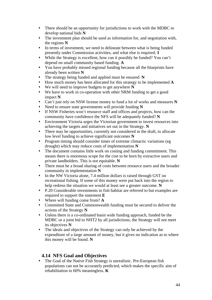- There should be an opportunity for jurisdictions to work with the MDBC to develop national bids **N**
- The investment plan should be used as information for, and negotiation with, the regions **N**
- In terms of investment, we need to delineate between what is being funded presently under Commission activities, and what else is required. **I**
- While the Strategy is excellent, how can it possibly be funded? You can't depend on small community based funding. **A**
- You have probably missed regional funding because all the blueprints have already been written **N**
- The strategy being funded and applied must be ensured **N**
- How much money has been allocated for this strategy to be implemented **A**
- We will need to improve budgets to get anywhere **N**
- We have to work in co-operation with other NRM funding to get a good impact **N**
- Can't just rely on NSW license money to fund a lot of works and measures **N**
- Need to ensure state governments will provide funding **N**
- If NSW Fisheries won't resource staff and offices and projects, how can the community have confidence the NFS will be adequately funded? **N**
- Environment Victoria urges the Victorian government to invest resources into achieving the targets and initiatives set out in the Strategy. **N**
- There may be opportunities, currently not considered in the draft, to allocate low level funding to achieve significant outcomes **N**
- Program timing should consider times of extreme climactic variations (eg drought) which may reduce costs of implementation **N**
- The document contains little work on costing and funding commitment. This means there is enormous scope for the cost to be born by extractive users and private landholders. This is not equitable. **N**
- There must be a broad sharing of costs between resource users and the broader community in implementation **N**
- In the NW Victoria alone, 7.4 million dollars is raised through GST on recreational fishing. If some of this money were put back into the region to help redress the situation we would at least see a greater outcome. **N**
- P.20 Considerable investments in fish habitat are referred to but examples are required to support the statement **E**
- Where will funding come from? **A**
- Committed State and Commonwealth funding must be secured to deliver the actions of the Strategy **N**
- Unless there is a co-ordinated basin wide funding approach, funded be the MDBC or a joint bid to NHT2 by all jurisdictions, the Strategy will not meet its objectives **N**
- The ideals and objectives of the Strategy can only be achieved by the expenditure of a large amount of money, but it gives no indication as to where this money will be found. **N**

## **4.14 NFS Goal and Objectives**

 The Goal of the Native Fish Strategy is unrealistic. Pre-European fish populations can not be accurately predicted, which makes the specific aim of rehabilitation to 60% meaningless. **K**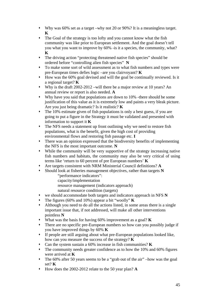- Why was 60% set as a target –why not 20 or 90%? It is a meaningless target. **K**
- The Goal of the strategy is too lofty and you cannot know what the fish community was like prior to European settlement. And the goal doesn't tell you what you want to improve by 60% -is it a species, the community, what? **K**
- The driving action "protecting threatened native fish species" should be ordered before "controlling alien fish species" **N**
- To make some sort of wild assessment as to what fish numbers and types were pre-European times defies logic –are you clairvoyant? **K**
- How was the 60% goal devised and will the goal be continually reviewed. Is it a regional target? **K**
- Why is the draft 2002-2012 –will there be a major review at 10 years? An annual review or report is also needed. **A**
- Why have you said that populations are down to 10% -there should be some justification of this value as it is extremely low and paints a very bleak picture. Are you just being dramatic? Is it realistic? **K**
- The 10% estimate given of fish populations is only a best guess, if you are going to put a figure in the Strategy it must be validated and presented with information to support it **K**
- The NFS needs a statement up front outlining why we need to restore fish populations, what is the benefit, given the high cost of providing environmental flows and restoring fish passage etc. **I**
- There was an opinion expressed that the biodiversity benefits of implementing the NFS is the most important outcome. **N**
- While the community will be very supportive of the strategy increasing native fish numbers and habitats, the community may also be very critical of using terms like 'return to 60 percent of pre European numbers' **K**
- Are targets consistent with NRM Ministerial Council definitions? **A**
- Should look at fisheries management objectives, rather than targets **N** "performance indicators":
	- capacity/implementation
	- resource management (indicators approach)
	- natural resource condition (targets)
- we should accommodate both targets and indicators approach in NFS **N**
- The figures (60% and 10%) appear a bit "woolly" **K**
- Although you need to do all the actions listed, in some areas there is a single important issue that, if not addressed, will make all other interventions pointless **N**
- What was the basis for having 60% improvement as a goal? **K**
- There are no specific pre-European numbers so how can you possibly judge if you have improved things by 60% **K**
- If people are still arguing about what pre-European populations looked like, how can you measure the success of the strategy? **K**
- Can the system sustain a 60% increase in fish communities? **K**
- The community needs greater confidence as to how the 10% and 60% figures were arrived at **K**
- The 60% after 50 years seems to be a "grab out of the air" –how was the goal set? **K**
- How does the 2002-2012 relate to the 50 year plan? **A**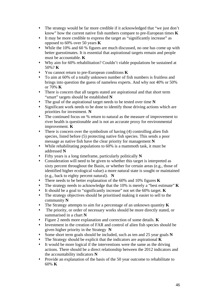- The strategy would be far more credible if it acknowledged that "we just don't know" how the current native fish numbers compare to pre-European times **K**
- It may be more credible to express the target as "significantly increase" as opposed to 60% over 50 years **K**
- While the 10% and 60 % figures are much discussed, no one has come up with better guesstimates. It is essential that aspirational targets remain and people must be accountable. **K**
- Why aim for 60% rehabilitation? Couldn't viable populations be sustained at 50%? **K**
- You cannot return to pre-European conditions **K**
- To aim at 60% of a totally unknown number of fish numbers is fruitless and brings into question the guess of nameless experts. And why not 40% or 50% or 70% **K**
- There is concern that all targets stated are aspirational and that short term "smart" targets should be established **N**
- The goal of the aspirational target needs to be tested over time **N**
- Significant work needs to be done to identify those driving actions which are priorities for investment. **N**
- The continued focus on % return to natural as the measure of improvement to river health is questionable and is not an accurate proxy for environmental improvement. **K**
- There is concern over the symbolism of having (4) controlling alien fish species, listed before (5) protecting native fish species. This sends a poor message as native fish have the clear priority for management **N**
- While rehabilitating populations to 60% is a mammoth task, it must be addressed **N**
- Fifty years is a long timeframe, particularly politically **N**
- Consideration will need to be given to whether this target is interpreted as sixty percent throughout the Basin, or whether for certain areas (e.g., those of identified higher ecological value) a more natural state is sought or maintained (e.g., back to eighty percent natural). **N**
- There needs to be better explanation of the 60% and 10% figures **K**
- The strategy needs to acknowledge that the 10% is merely a "best estimate" **K**
- It should be a goal to "significantly increase" not set the 60% target. **K**
- The strategy objectives should be prioritised making it easier to sell to the community **N**
- The Strategy attempts to aim for a percentage of an unknown quantity **K**
- The priority, or order of necessary works should be more directly stated, or summarised in a chart **N**
- Figure 2 needs more explanation and correction of some details. **K**
- Investment in the creation of FAR and control of alien fish species should be given higher priority in the Strategy **N**
- Some short term goals should be included, such as ten and 25 year goals **N**
- The Strategy should be explicit that the indicators are aspirational **K**
- It would be more logical if the interventions were the same as the driving actions. There should be a direct relationship between the 2012 indicators and the accountability indicators **N**
- Provide an explanation of the basis of the 50 year outcome to rehabilitate to 60% **K**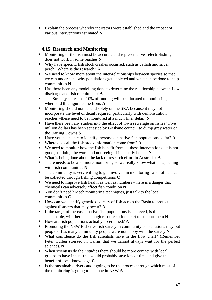Explain the process whereby indicators were established and the impact of various interventions estimated **N**

## **4.15 Research and Monitoring**

- Monitoring of the fish must be accurate and representative –electrofishing does not work in some reaches **N**
- Why have specific fish stock crashes occurred, such as catfish and silver perch? Where is the research? **A**
- We need to know more about the inter-relationships between species so that we can understand why populations get depleted and what can be done to help communities **N**
- Has there been any modelling done to determine the relationship between flow discharge and fish recruitment? **A**
- The Strategy states that 10% of funding will be allocated to monitoring where did this figure come from. **A**
- Monitoring should not depend solely on the SRA because it may not incorporate the level of detail required, particularly with demonstration reaches –these need to be monitored at a much finer detail. **N**
- Have there been any studies into the effect of town sewerage on fishes? Five million dollars has been set aside by Brisbane council to dump grey water on the Darling Downs **S**
- Have you been able to identify increases in native fish populations so far? **A**
- Where does all the fish stock information come from? **A**
- We need to monitor how the fish benefit from all these interventions –it is not good just doing the work and not seeing if it actually helped **N**
- What is being done about the lack of research effort in Australia? **A**
- There needs to be a lot more monitoring so we really know what is happening with fish communities **N**
- The community is very willing to get involved in monitoring –a lot of data can be collected through fishing competitions **C**
- We need to improve fish health as well as numbers –there is a danger that chemicals can adversely affect fish condition **N**
- You don't need hi-tech monitoring techniques, just talk to the local communities **C**
- How can we identify genetic diversity of fish across the Basin to protect against disasters that may occur? **A**
- If the target of increased native fish populations is achieved, is this sustainable, will there be enough resources (food etc) to support them **N**
- How are fish populations actually ascertained? **A**
- Promoting the NSW Fisheries fish survey in community consultations may put people off as many community people were not happy with the survey **N**
- What confidence do the fish scientists have in the flow chart? (Remember Peter Cullen stressed in Cairns that we cannot always wait for the perfect science). **N**
- When scientists do their studies there should be more contact with local groups to have input –this would probably save lots of time and give the benefit of local knowledge **C**
- Is the sustainable rivers audit going to be the process through which most of the monitoring is going to be done in NSW **A**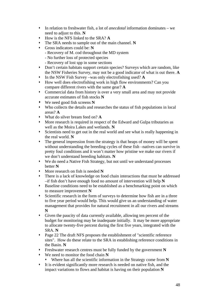- In relation to freshwater fish, a lot of *anecdotal* information dominates we need to adjust to this. **N**
- How is the NFS linked to the SRA? **A**
- The SRA needs to sample out of the main channel. **N**
- Gross indicators could be: **N**
	- Recovery of M. cod throughout the MD system
	- No further loss of protected species
	- Recovery of lost spp in some sections
- Don't certain habitats support certain species? Surveys which are random, like the NSW Fisheries Survey, may not be a good indicator of what is out there. **A**
- In the NSW Fish Survey –was only electrofishing used? **A**
- How well does electrofishing work in high flow environments? Can you compare different rivers with the same gear? **A**
- Commercial data from history is over a very small area and may not provide accurate estimates of fish stocks **N**
- We need good fish screens **N**
- Who collects the details and researches the status of fish populations in local areas? **A**
- What do silver bream feed on? **A**
- More research is required in respect of the Edward and Gulpa tributaries as well as the Moira Lakes and wetlands. **N**
- Scientists need to get out in the real world and see what is really happening in the real world. **N**
- The general impression from the strategy is that heaps of money will be spent without understanding the breeding cycles of these fish –natives can survive in pretty foul conditions and it won't matter how pristine we make our rivers if we don't understand breeding habitats. **N**
- We do need a Native Fish Strategy, but not until we understand processes better **N**
- More research on fish is needed **N**
- There is a lack of knowledge on food chain interactions that must be addressed –if fish don't have enough food no amount of intervention will help **N**
- Baseline conditions need to be established as a benchmarking point on which to measure improvement **N**
- Scientific research in the form of surveys to determine how fish are in a three to five year period would help. This would give us an understanding of water management that provides for natural recruitment in all our rivers and streams **N**
- Given the paucity of data currently available, allowing ten percent of the budget for monitoring may be inadequate initially. It may be more appropriate to allocate twenty-five percent during the first five years, integrated with the SRA. **N**
- Page 22 The draft NFS proposes the establishment of "scientific reference" sites". How do these relate to the SRA in establishing reference conditions in the Basin. **N**
- Freshwater research centres must be fully funded by the government **N**
- We need to monitor the food chain **N**
	- Where has all the scientific information in the Strategy come from **N**
- It is evident significantly more research is needed on native fish, and the impact variations to flows and habitat is having on their population **N**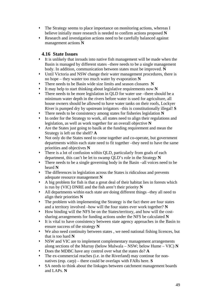- The Strategy seems to place importance on monitoring actions, whereas I believe initially more research is needed to confirm actions proposed **N**
- Research and investigation actions need to be carefully balanced against management actions **N**

## **4.16 State Issues**

- It is unlikely that inroads into native fish management will be made when the Basin is managed by different states –there needs to be a single management body. In addition, communication between states must be improved. **N**
- Until Victoria and NSW change their water management procedures, there is no hope – they waster too much water by evaporation **N**
- There needs to be Basin wide size limits and season closures **N**
- It may help to start thinking about legislative requirements now **N**
- There needs to be more legislation in QLD for water use –there should be a minimum water depth in the rivers before water is used for agriculture, all house owners should be allowed to have water tanks on their roofs, Lockyer River is pumped dry by upstream irrigators –this is constitutionally illegal! **S**
- There needs to be consistency among states for fisheries legislation **N**
- In order for the Strategy to work, all states need to align their regulations and legislation, as well as work together for an overall objective **N**
- Are the States just going to baulk at the funding requirement and mean the Strategy is left on the shelf? **A**
- Not only do the States need to come together and co-operate, but government departments within each state need to fit together –they need to have the same priorities and objectives **N**
- There is a lot of confusion within QLD, particularly from goals of each department, this can't be let to swamp QLD's role in the Strategy **N**
- There needs to be a single governing body in the Basin –all voices need to be heard **N**
- The differences in legislation across the States is ridiculous and prevents adequate resource management **N**
- A big problem for fish is that a great deal of their habitat lies in forests which is run by (VIC) DNRE and the fish aren't their priority **N**
- All departments within each state are doing different things –they all need to align their priorities **N**
- The problem with implementing the Strategy is the fact there are four states and a territory involved –how will the four states ever work together? **N**
- How binding will the NFS be on the States/territory, and how will the costsharing arrangements for funding actions under the NFS be calculated **N**
- It is vital to have consistency between state agency approaches in the Basin to ensure success of the strategy **N**
- We also need continuity between states , we need national fishing licences, but that is too hard **N**
- NSW and VIC are to implement complementary management arrangements along sections of the Murray (below Mulwala – NSW; below Hume – VIC) **N**
- Does the MDBC have any control over what the states do? **A**
- The ex-commercial reaches (i.e. in the Riverland) may continue for nonnatives (esp. carp) – there could be overlaps with FARs here. **S**
- SA needs to think about the linkages between catchment management boards and LAPs. **N**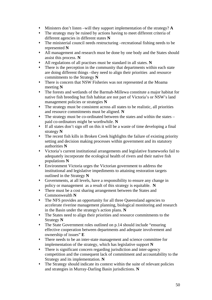- Ministers don't listen –will they support implementation of the strategy? **A**
- The strategy may be ruined by actions having to meet different criteria of different agencies in different states **N**
- The ministerial council needs restructuring –recreational fishing needs to be represented **N**
- All management and research must be done by one body and the States should assist this process. **N**
- All regulations of all practises must be standard in all states. **N**
- There is the perception in the community that departments within each state are doing different things –they need to align their priorities and resource commitments to the Strategy **N**
- There is concern that NSW Fisheries was not represented at the Moama meeting **N**
- The forests and wetlands of the Barmah-Millewa constitute a major habitat for native fish breeding but fish habitat are not part of Victoria's or NSW's land management policies or strategies **N**
- The strategy must be consistent across all states to be realistic, all priorities and resource commitments must be aligned. **N**
- The strategy must be co-ordinated between the states and within the states paid co-ordinators might be worthwhile. **N**
- If all states don't sign off on this it will be a waste of time developing a final strategy **N**
- The recent fish kills in Broken Creek highlights the failure of existing priority setting and decision making processes within government and its statutory authorities **N**
- Victoria's current institutional arrangements and legislative frameworks fail to adequately incorporate the ecological health of rivers and their native fish populations **N**
- Environment Victoria urges the Victorian government to address the institutional and legislative impediments to attaining restoration targets outlined in the Strategy **N**
- Governments, at all levels, have a responsibility to ensure any change in policy or management as a result of this strategy is equitable. **N**
- There must be a cost sharing arrangement between the States and Commonwealth **N**
- The NFS provides an opportunity for all three Queensland agencies to accelerate riverine management planning, biological monitoring and research in the Basin under the strategy's action plans. **N**
- The States need to align their priorities and resource commitments to the Strategy **N**
- The State Government roles outlined on p.14 should include "ensuring effective cooperation between departments and adequate involvement and ownership of issues" **E**
- There needs to be an inter-state management and science committee for implementation of the strategy, which has legislative support **N**
- There is significant concern regarding jurisdiction and inter-agency competition and the consequent lack of commitment and accountability to the Strategy and its implementation. **N**
- The Strategy should indicate its context within the suite of relevant policies and strategies in Murray-Darling Basin jurisdictions. **N**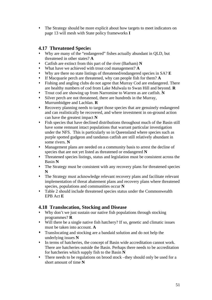The Strategy should be more explicit about how targets to meet indicators on page 13 will mesh with State policy frameworks **I**

## **4.17 Threatened Specie**s

- Why are many of the "endangered" fishes actually abundant in QLD, but threatened in other states? **A**
- Catfish are extinct from this part of the river (Barham) **N**
- What have we achieved with trout cod management? **A**
- Why are there no state listings of threatened/endangered species in SA? **E**
- If Macquarie perch are threatened, why can people fish for them? **A**
- Fishing and angling clubs do not agree that Murray Cod are endangered. There are healthy numbers of cod from Lake Mulwala to Swan Hill and beyond. **R**
- Trout cod are showing up from Narromine to Warren as are catfish. **N**
- Silver perch are not threatened, there are hundreds in the Murray, Murrumbidgee and Lachlan. **R**
- Recovery planning needs to target those species that are genuinely endangered and can realistically be recovered, and where investment in on-ground action can have the greatest impact **N**
- Fish species that have declined distributions throughout much of the Basin still have some remnant intact populations that warrant particular investigation under the NFS. This is particularly so in Queensland where species such as purple spotted gudgeon and tandanus catfish are still relatively abundant in some rivers. **N**
- Management plans are needed on a community basis to arrest the decline of species that are not yet listed as threatened or endangered **N**
- Threatened species listings, status and legislation must be consistent across the Basin **N**
- The Strategy must be consistent with any recovery plans for threatened species **N**
- The Strategy must acknowledge relevant recovery plans and facilitate relevant implementation of threat abatement plans and recovery plans where threatened species, populations and communities occur **N**
- Table 2 should include threatened species status under the Commonwealth EPB Act **E**

## **4.18 Translocation, Stocking and Disease**

- Why don't we just sustain our native fish populations through stocking programmes? **R**
- Will there be a single native fish hatchery? If so, genetic and climatic issues must be taken into account. **A**
- Translocating and stocking are a bandaid solution and do not help the underlying issues **N**
- In terms of hatcheries, the concept of Basin wide accreditation cannot work. There are hatcheries outside the Basin. Perhaps there needs to be accreditation for hatcheries which supply fish to the Basin **N**
- There needs to be regulations on brood stock –they should only be used for a short amount of time **N**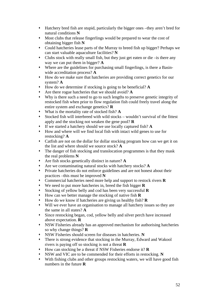- Hatchery bred fish are stupid, particularly the bigger ones –they aren't bred for natural conditions **N**
- Most clubs that release fingerlings would be prepared to wear the cost of obtaining bigger fish **N**
- Could hatcheries lease parts of the Murray to breed fish up bigger? Perhaps we can start valuable aquaculture facilities? **N**
- Clubs stock with really small fish, but they just get eaten or die –is there any way we can put them in bigger? **A**
- Where are the guidelines for purchasing small fingerlings, is there a Basinwide accreditation process? **A**
- How do we make sure that hatcheries are providing correct genetics for our system? **A**
- How do we determine if stocking is going to be beneficial? **A**
- Are there rogue hatcheries that we should avoid? **A**
- Why is there such a need to go to such lengths to preserve genetic integrity of restocked fish when prior to flow regulation fish could freely travel along the entire system and exchange genetics? **R**
- What is the mortality rate of stocked fish? **A**
- Stocked fish will interbreed with wild stocks wouldn't survival of the fittest apply and the stocking not weaken the gene pool? **R**
- If we started a hatchery should we use locally captured fish? **A**
- How and where will we find local fish with intact wild genes to use for restocking? **A**
- Catfish are not on the dollar for dollar stocking program how can we get it on the list and where should we source stock? **A**
- The danger of fish stocking and translocation programmes is that they mask the real problems **N**
- Are fish stocks genetically distinct in nature? **A**
- Are we contaminating natural stocks with hatchery stocks? **A**
- Private hatcheries do not enforce guidelines and are not honest about their practices –this must be improved **N**
- Commercial hatcheries need more help and support to restock rivers **R**
- We need to put more hatcheries in, breed the fish bigger **R**
- Stocking of yellow belly and cod has been very successful **R**
- How can we better manage the stocking of native fish **R**
- How do we know if hatcheries are giving us healthy fish? **R**
- Will we ever have an organisation to manage all hatchery issues so they are the same in all states? **A**
- Since restocking began, cod, yellow belly and silver perch have increased above expectation. **R**
- NSW Fisheries already has an approved mechanism for authorising hatcheries so why change things? **R**
- NSW Fisheries should screen for diseases in hatcheries. **N**
- There is strong evidence that stocking in the Murray, Edward and Wakool rivers is paying off so stocking is not a threat **R**
- How can stocking be a threat if NSW Fisheries endorse it? **R**
- NSW and VIC are to be commended for their efforts in restocking. **N**
- With fishing clubs and other groups restocking waters, we will have good fish numbers in the future **R**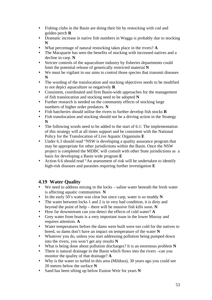- Fishing clubs in the Basin are doing their bit by restocking with cod and golden perch **R**
- Dramatic increase in native fish numbers in Wagga is probably due to stocking **N**
- What percentage of natural restocking takes place in the rivers? **A**
- The Macquarie has seen the benefits of stocking with increased natives and a decline in carp. **N**
- Stricter controls of the aquaculture industry by fisheries departments could limit the potential release of genetically restricted material **N**
- We must be vigilant in our aims to control those species that transmit diseases **N**
- The wording of the translocation and stocking objectives needs to be modified to not depict aquaculture so negatively **R**
- Consistent, coordinated and firm Basin-wide approaches for the management of fish translocation and stocking need to be adopted **N**
- Further research is needed on the community effects of stocking large numbers of higher order predators. **N**
- Fish hatcheries should utilise the rivers to further develop fish stocks **R**
- Fish translocation and stocking should not be a driving action in the Strategy **N**
- The following words need to be added to the start of 6.1: The implementation of this strategy will at all times support and be consistent with the National Policy for the Translocation of Live Aquatic Organisms **E**
- Under 6.3 should read "NSW is developing a quality assurance program that may be appropriate for other jurisdictions within the Basin. Once the NSW project is completed the MDBC will consult with other State jurisdictions as a basis for developing a Basin wide program **E**
- Action 6.6 should read "An assessment of risk will be undertaken to identify high-risk diseases and parasites requiring further investigation **E**

# **4.19 Water Quality**

- We need to address mixing in the locks saline water beneath the fresh water is affecting aquatic communities **N**
- In the early 50's water was clear but since carp, water is so muddy **N**
- The water between locks 1 and 2 is in very bad condition, it is dirty and beyond the point of help – there will be massive fish kills soon. **N**
- How far downstream can you detect the effects of cold water? **A**
- Grey water from boats is a very important issue in the lower Murray and requires attention. **A**
- Water temperatures before the dams were built were too cold for the natives to breed, so dams don't have an impact on temperature of the water **N**
- Whatever you do, unless you start addressing pollution being pumped down into the rivers, you won't get any results **N**
- What is being done about pollution discharges? It is an enormous problem **N**
- There is natural drainage in the Basin which flows into the rivers –can you monitor the quality of that drainage? **A**
- Why is the water so turbid in this area (Mildura), 30 years ago you could see 20 metres below the surface **N**
- Sand has been silting up below Euston Weir for years **N**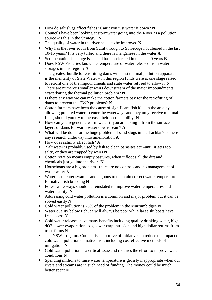- How do salt slugs affect fishes? Can't you just water it down? **N**
- Councils have been looking at stormwater going into the River as a pollution source –is this in the Strategy? **N**
- The quality of water in the river needs to be improved **N**
- Why has the river south from Surat through to St George not cleared in the last 10-15 years? It is very turbid and there is manganese in the water **A**
- Sedimentation is a huge issue and has accelerated in the last 20 years **E**
- Does NSW Fisheries know the temperature of water released from water storages in this region? **A**
- The greatest hurdle to retrofitting dams with anti thermal pollution apparatus is the mentality of State Water – in this region funds were at one stage raised to retrofit one of the impoundments and state water refused to allow it. **N**
- There are numerous smaller weirs downstream of the major impoundments exacerbating the thermal pollution problem? **N**
- Is there any way we can make the cotton farmers pay for the retrofitting of dams to prevent the CWP problems? **N**
- Cotton farmers have been the cause of significant fish kills in the area by allowing polluted water to enter the waterways and they only receive minimal fines, should you try to increase their accountability. **N**
- How can you regenerate warm water if you are taking it from the surface layers of dams for warm water downstream? **A**
- What will be done for the huge problem of sand slugs in the Lachlan? Is there any research underway into amelioration **A**
- How does salinity affect fish? **A**
- Salt water is probably used by fish to clean parasites etc –until it gets too salty, or they are trapped by weirs **N**
- Cotton rotation means empty pastures, when it floods all the dirt and chemicals just go into the rivers **N**
- Houseboats are a big problem –there are no controls and no management of waste water **N**
- Water must enter swamps and lagoons to maintain correct water temperature for native fish breeding **N**
- Forest waterways should be reinstated to improve water temperatures and water quality. **N**
- Addressing cold water pollution is a common and major problem but it can be solved easily **N**
- Cold water pollution is 75% of the problem in the Murrumbidgee **N**
- Water quality below Echuca will always be poor while large ski boats have free access **N**
- Cold water releases have many benefits including quality drinking water, high dO2, lower evaporation loss, lower carp intrusion and high dollar returns from trout farms **N**
- The NSW Irrigators Council is supportive of initiatives to reduce the impact of cold water pollution on native fish, including cost effective methods of mitigation. **N**
- Cold water pollution is a critical issue and requires the effort to improve water conditions **N**
- Spending millions to raise water temperature is grossly inappropriate when our rivers and streams are in such need of funding. The money could be much better spent **N**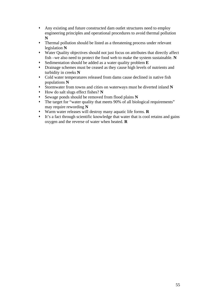- Any existing and future constructed dam outlet structures need to employ engineering principles and operational procedures to avoid thermal pollution **N**
- Thermal pollution should be listed as a threatening process under relevant legislation **N**
- Water Quality objectives should not just focus on attributes that directly affect fish –we also need to protect the food web to make the system sustainable. **N**
- Sedimentation should be added as a water quality problem **E**
- Drainage schemes must be ceased as they cause high levels of nutrients and turbidity in creeks **N**
- Cold water temperatures released from dams cause declined in native fish populations **N**
- Stormwater from towns and cities on waterways must be diverted inland **N**
- How do salt slugs effect fishes? **N**
- Sewage ponds should be removed from flood plains **N**
- The target for "water quality that meets 90% of all biological requirements" may require rewording **N**
- Warm water releases will destroy many aquatic life forms. **R**
- It's a fact through scientific knowledge that water that is cool retains and gains oxygen and the reverse of water when heated. **R**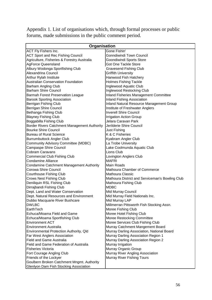Appendix 1. List of organisations which, through formal processes or public forums, made submissions in the public comment period.

| Organisation                                    |                                                 |  |  |  |
|-------------------------------------------------|-------------------------------------------------|--|--|--|
| ACT Fly Fishers Inc.                            | Gone Fishin'                                    |  |  |  |
| <b>ACT Sport and Rec Fishing Council</b>        | Gonndiwindi Town Council                        |  |  |  |
| Agriculture, Fisheries & Forestry Australia     | Goondiwindi Sports Store                        |  |  |  |
| <b>AgForce Queensland</b>                       | Got One Tackle Store                            |  |  |  |
| Albury Wodonga Sportfishing Club                | <b>Gravesend Fishing Club</b>                   |  |  |  |
| Alexandrina Council                             | <b>Griffith University</b>                      |  |  |  |
| Arthur Rylah Institute                          | Hanwood Fish Hatchery                           |  |  |  |
| <b>Australian Conservation Foundation</b>       | <b>Holmes Fishing Tackle</b>                    |  |  |  |
| <b>Barham Angling Club</b>                      | Inglewood Aquatic Club                          |  |  |  |
| <b>Barham Shire Council</b>                     | Inglewood Restocking Club                       |  |  |  |
| <b>Barmah Forest Preservation League</b>        | Inland Fisheries Management Committee           |  |  |  |
| <b>Barook Sporting Association</b>              | <b>Inland Fishing Association</b>               |  |  |  |
| Berrigan Fishing Club                           | Inland Natural Resource Management Group        |  |  |  |
| Berrigan Shire Council                          | Institute of Freshwater Anglers                 |  |  |  |
| Bethanga Fishing Club                           | <b>Inverell Shire Council</b>                   |  |  |  |
| <b>Blayney Fishing Club</b>                     | <b>Irrigation Action Group</b>                  |  |  |  |
| Boggabilla Fishing Club                         | Jelara Caravan Park                             |  |  |  |
| Border Rivers Catchment Management Authority    | Jerilderie Shire Council                        |  |  |  |
| <b>Bourke Shire Council</b>                     | <b>Just Fishing</b>                             |  |  |  |
| <b>Bureau of Rural Science</b>                  | K & C Fisheries                                 |  |  |  |
| <b>Burrumbuttock Angler Club</b>                | Kyabram Angler Club                             |  |  |  |
| <b>Community Advisory Committee (MDBC)</b>      | La Trobe University                             |  |  |  |
| <b>Campaspe Shire Council</b>                   | Lake Coolmunda Aquatic Club                     |  |  |  |
| <b>Cobram Caravans</b>                          | Lions Club                                      |  |  |  |
| <b>Commercial Club Fishing Club</b>             | Lovington Anglers Club                          |  |  |  |
| <b>Condamine Alliance</b>                       | <b>MAFRI</b>                                    |  |  |  |
| <b>Condamine Catchment Management Authority</b> | Main Roads                                      |  |  |  |
| Corowa Shire Council                            | Mathoura Chamber of Commerce                    |  |  |  |
| <b>Courthouse Fishing Club</b>                  | <b>Mathoura Classic</b>                         |  |  |  |
| <b>Crows Nest Fishing Club</b>                  | Mathoura District and Serviceman's Bowling Club |  |  |  |
| Deniliquin RSL Fishing Club                     | Mathoura Fishing Club                           |  |  |  |
| Dirrajbandi Fishing Club                        | <b>MDBC</b>                                     |  |  |  |
| Dept. Land and Water Conservation               | Mid Murray Council                              |  |  |  |
| Dept. Natural Resources and Environment         | Mid Murray Field Nationals Inc.                 |  |  |  |
| Dubbo Macquarie River Bushcare                  | Mid Murray LAP                                  |  |  |  |
| <b>DWLBC</b>                                    | Millmerran Pittsworth Fish Stocking Assn.       |  |  |  |
| EarthTech                                       | Moree Fishing Club                              |  |  |  |
| Echuca/Moama Field and Game                     | Moree Hotel Fishing Club                        |  |  |  |
| Echuca/Moama Sportfishing Club                  | Moree Restocking Committee                      |  |  |  |
| <b>Environment ACT</b>                          | Moree Services Club Fishing Club                |  |  |  |
| <b>Environment Australia</b>                    | Murray Catchment Mangement Board                |  |  |  |
| Environmental Protection Authority, Qld         | Murray Darling Association, National Board      |  |  |  |
| Far West Anglers Association                    | Murray Darling Association Region 1             |  |  |  |
| <b>Field and Game Australia</b>                 | Murray Darling Association Region 2             |  |  |  |
| <b>Field and Game Federation of Australia</b>   | Murray Irrigation                               |  |  |  |
| <b>Fisheries Victoria</b>                       | Murray Organic Group                            |  |  |  |
| Fort Courage Angling Club                       | Murray River Angling Association                |  |  |  |
| Friends of the Lockyer                          | <b>Murray River Fishing Tours</b>               |  |  |  |
| Goulbern Broken Catchment Mngmt. Authority      |                                                 |  |  |  |
| Glenlyon Dam Fish Stocking Association          |                                                 |  |  |  |